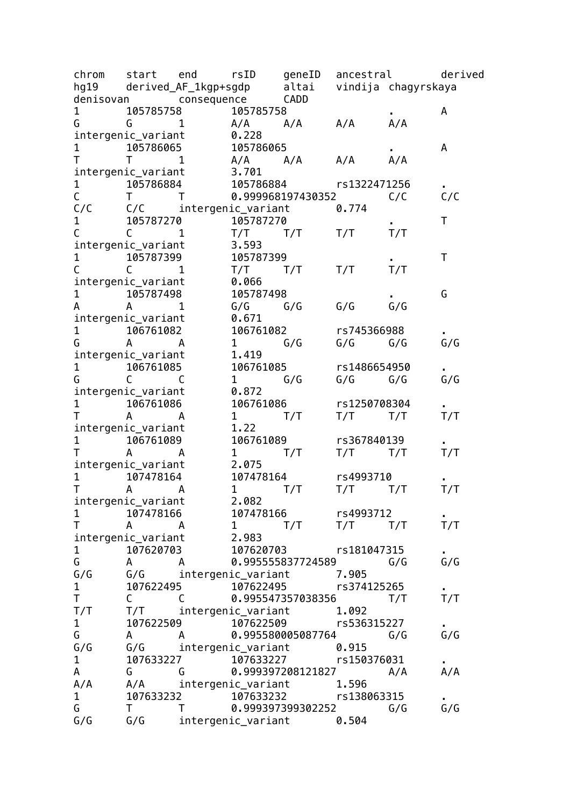| chrom<br>hg19 | start end                | rsID<br>derived_AF_1kgp+sgdp |                        | geneID<br>altai                                  | ancestral    | vindija chagyrskaya | derived |
|---------------|--------------------------|------------------------------|------------------------|--------------------------------------------------|--------------|---------------------|---------|
|               | denisovan                | consequence                  |                        | CADD                                             |              |                     |         |
| $\mathbf{1}$  | 105785758                |                              | 105785758              |                                                  |              |                     | A       |
| G             | G                        | $\mathbf{1}$                 | $A/A$ $A/A$            |                                                  | A/A          | A/A                 |         |
|               |                          |                              | 0.228                  |                                                  |              |                     |         |
|               | intergenic_variant       |                              |                        |                                                  |              |                     |         |
| 1             | 105786065                |                              | 105786065              |                                                  |              |                     | A       |
| T             | $\mathsf{T}$             | 1                            | A/A                    | A/A                                              | A/A          | A/A                 |         |
|               | intergenic_variant       |                              | 3.701                  |                                                  |              |                     |         |
| $\mathbf{1}$  | 105786884                |                              |                        | 105786884                                        | rs1322471256 |                     |         |
| $\mathsf C$   | T.                       | Τ                            |                        | 0.999968197430352                                |              | C/C                 | C/C     |
| C/C           |                          | C/C intergenic_variant       |                        |                                                  | 0.774        |                     |         |
| 1             | 105787270                |                              | 105787270              |                                                  |              |                     | Τ       |
| C             | $\mathsf{C}$             | 1                            | T/T                    | T/T                                              | T/T          | T/T                 |         |
|               | intergenic_variant       |                              | 3.593                  |                                                  |              |                     |         |
| 1             | 105787399                |                              | 105787399              |                                                  |              |                     | Τ       |
| $\mathsf{C}$  | $\mathsf{C}$             | 1                            | T/T                    | T/T                                              | T/T          | T/T                 |         |
|               | intergenic_variant       |                              | 0.066                  |                                                  |              |                     |         |
| 1             | 105787498                |                              | 105787498              |                                                  |              |                     | G       |
| А             | A                        | 1                            | G/G                    | G/G                                              | G/G          | G/G                 |         |
|               | intergenic_variant       |                              | 0.671                  |                                                  |              |                     |         |
| $\mathbf{1}$  | 106761082                |                              | 106761082              |                                                  | rs745366988  |                     |         |
| G             | $\mathsf{A}$<br><b>A</b> |                              | $1 \quad \blacksquare$ | G/G                                              | $G/G$ $G/G$  |                     | G/G     |
|               | intergenic_variant       |                              | 1.419                  |                                                  |              |                     |         |
| $\mathbf{1}$  | 106761085                |                              | 106761085              |                                                  | rs1486654950 |                     |         |
| G             | C                        | C                            | $\mathbf{1}$           | G/G                                              | G/G          | G/G                 | G/G     |
|               | intergenic_variant       |                              | 0.872                  |                                                  |              |                     |         |
| $\mathbf 1$   | 106761086                |                              | 106761086              |                                                  | rs1250708304 |                     |         |
| Τ             | A                        | A                            | $\mathbf{1}$           | T/T                                              | T/T          | T/T                 | T/T     |
|               |                          |                              | 1.22                   |                                                  |              |                     |         |
|               | intergenic_variant       |                              |                        |                                                  | rs367840139  |                     |         |
| $\mathbf{1}$  | 106761089                |                              | 106761089              |                                                  |              |                     |         |
| Τ             | A                        | A                            | $1 \quad \blacksquare$ | T/T                                              | T/T          | T/T                 | T/T     |
|               | intergenic_variant       |                              | 2.075                  |                                                  |              |                     |         |
| 1             | 107478164                |                              | 107478164              |                                                  | rs4993710    |                     |         |
| Τ             | A                        | A                            | $\mathbf{1}$           | T/T                                              | T/T          | T/T                 | T/T     |
|               | intergenic_variant       |                              | 2.082                  |                                                  |              |                     |         |
| 1             | 107478166                |                              | 107478166              |                                                  | rs4993712    |                     |         |
| T.            | A                        | A                            | $\mathbf{1}$           | T/T                                              | $T/T$ $T/T$  |                     | T/T     |
|               | intergenic_variant       |                              | 2.983                  |                                                  |              |                     |         |
| $\mathbf{1}$  | 107620703                |                              | 107620703              |                                                  | rs181047315  |                     |         |
| G             | $A \qquad \qquad$        | A                            |                        | 0.995555837724589                                |              | G/G                 | G/G     |
| G/G           | G/G                      | intergenic_variant           |                        |                                                  | 7.905        |                     |         |
| $\mathbf{1}$  | 107622495                |                              | 107622495              |                                                  | rs374125265  |                     |         |
| T             | $\mathsf{C}$             | C                            |                        | 0.995547357038356                                |              | T/T                 | T/T     |
| T/T           | T/T                      |                              | intergenic_variant     |                                                  | 1.092        |                     |         |
| $\mathbf{1}$  | 107622509                |                              | 107622509              |                                                  | rs536315227  |                     |         |
| G             | $\mathsf{A}$             | A                            |                        | 0.995580005087764                                |              | G/G                 | G/G     |
| G/G           | G/G                      |                              |                        |                                                  | 0.915        |                     |         |
| $\mathbf{1}$  |                          | 107633227                    |                        | intergenic_variant<br>7                107633227 | rs150376031  |                     |         |
| A             | G                        | G                            |                        | 0.999397208121827                                |              | A/A                 | A/A     |
| A/A           | A/A                      | intergenic_variant           |                        |                                                  | 1.596        |                     |         |
| $\mathbf{1}$  | 107633232                |                              |                        | 107633232                                        | rs138063315  |                     |         |
| G             | Τ                        | T                            |                        | 0.999397399302252                                |              | G/G                 | G/G     |
|               |                          |                              |                        |                                                  |              |                     |         |
| G/G           | G/G                      |                              |                        | intergenic_variant 0.504                         |              |                     |         |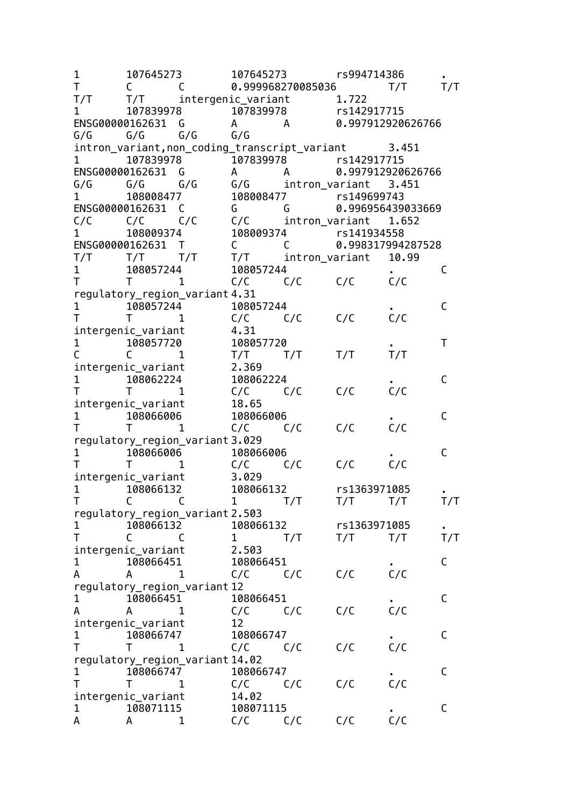| 1                               | 107645273                     |                                 | 107645273                                           |                | rs994714386           |                   |              |
|---------------------------------|-------------------------------|---------------------------------|-----------------------------------------------------|----------------|-----------------------|-------------------|--------------|
| Τ                               | C                             | C                               | 0.999968270085036                                   |                |                       | T/T               | T/T          |
| T/T                             | T/T                           |                                 | intergenic_variant                                  |                | 1.722                 |                   |              |
| 1                               | 107839978                     |                                 | 107839978                                           |                | rs142917715           |                   |              |
| ENSG00000162631 G               |                               |                                 | A A                                                 |                |                       | 0.997912920626766 |              |
| G/G                             | G/G                           | G/G                             | G/G                                                 |                |                       |                   |              |
|                                 |                               |                                 | intron_variant, non_coding_transcript_variant 3.451 |                |                       |                   |              |
| 1                               |                               |                                 |                                                     |                |                       |                   |              |
| ENSG00000162631                 |                               | G                               | A                                                   | A              |                       | 0.997912920626766 |              |
| G/G                             | G/G                           | G/G                             | G/G intron_variant                                  |                |                       | 3.451             |              |
| 1                               | 108008477                     |                                 |                                                     |                | 108008477 rs149699743 |                   |              |
| ENSG00000162631 C               |                               |                                 | G                                                   | G              |                       | 0.996956439033669 |              |
| C/C                             | $C/C$ $C/C$                   |                                 | C/C                                                 |                | intron_variant 1.652  |                   |              |
| 1                               | 108009374                     |                                 |                                                     |                | 108009374 rs141934558 |                   |              |
| ENSG00000162631 T               |                               |                                 | $\mathsf C$                                         | C              |                       | 0.998317994287528 |              |
| T/T                             | $T/T$ $T/T$                   |                                 | T/T                                                 | intron_variant |                       | 10.99             |              |
| 1                               | 108057244                     |                                 | 108057244                                           |                |                       |                   | C            |
| т                               | T.                            | 1.                              | C/C<br>C/C                                          |                | C/C                   | C/C               |              |
|                                 |                               | regulatory_region_variant 4.31  |                                                     |                |                       |                   |              |
| 1                               | 108057244                     |                                 | 108057244                                           |                |                       |                   | C            |
|                                 | $\mathsf{T}$                  | 1                               | C/C                                                 | C/C            | C/C                   | C/C               |              |
| intergenic_variant              |                               |                                 | 4.31                                                |                |                       |                   |              |
| 1                               | 108057720                     |                                 | 108057720                                           |                |                       |                   | T            |
|                                 | C.                            | 1                               | T/T                                                 | T/T            | T/T                   | T/T               |              |
|                                 | intergenic_variant            |                                 | 2.369                                               |                |                       |                   |              |
| 1                               | 108062224                     |                                 | 108062224                                           |                |                       |                   | C            |
|                                 | Τ                             | 1                               | C/C                                                 | C/C            | C/C                   | C/C               |              |
|                                 | intergenic_variant            |                                 | 18.65                                               |                |                       |                   |              |
| 1                               | 108066006                     |                                 | 108066006                                           |                |                       |                   | C            |
| т                               | $\mathsf{T}$ and $\mathsf{T}$ | 1                               | C/C                                                 | C/C            | C/C                   | C/C               |              |
|                                 |                               | regulatory_region_variant 3.029 |                                                     |                |                       |                   |              |
| 1                               | 108066006                     |                                 | 108066006                                           |                |                       |                   | C            |
|                                 | Τ                             | 1                               | C/C                                                 | C/C            | C/C                   | C/C               |              |
|                                 | intergenic_variant            |                                 | 3.029                                               |                |                       |                   |              |
| 1                               | 108066132                     |                                 | 108066132                                           |                | rs1363971085          |                   |              |
| Τ                               | $\mathsf{C}$                  | $\mathsf{C}$                    | $\mathbf{1}$                                        | T/T            | T/T                   | T/T               | T/T          |
|                                 |                               | regulatory_region_variant 2.503 |                                                     |                |                       |                   |              |
| 1                               | 108066132                     |                                 | 108066132                                           |                | rs1363971085          |                   |              |
| т                               | C                             | C                               | 1                                                   | T/T            | T/T                   | T/T               | T/T          |
| intergenic_variant              |                               |                                 | 2.503                                               |                |                       |                   |              |
| 1                               | 108066451                     |                                 | 108066451                                           |                |                       |                   | C            |
| A                               | A                             | 1                               | C/C                                                 | C/C            | C/C                   | C/C               |              |
|                                 |                               |                                 |                                                     |                |                       |                   |              |
|                                 |                               | regulatory_region_variant 12    | 108066451                                           |                |                       |                   | $\mathsf C$  |
| 1                               | 108066451                     |                                 |                                                     |                |                       | C/C               |              |
| A                               | A                             | 1                               | C/C                                                 | C/C            | C/C                   |                   |              |
| intergenic_variant              |                               |                                 | 12                                                  |                |                       |                   | $\mathsf{C}$ |
| 1                               | 108066747                     |                                 | 108066747                                           |                |                       |                   |              |
| T                               | т                             | 1                               | C/C                                                 | C/C            | C/C                   | C/C               |              |
| regulatory_region_variant 14.02 |                               |                                 |                                                     |                |                       |                   |              |
| 1                               | 108066747                     |                                 | 108066747                                           |                |                       |                   | $\mathsf{C}$ |
|                                 |                               | 1                               | C/C                                                 | C/C            | C/C                   | C/C               |              |
| intergenic_variant              |                               |                                 | 14.02                                               |                |                       |                   |              |
| 1                               | 108071115                     |                                 | 108071115                                           |                |                       |                   | C            |
| A                               | A                             | 1                               | C/C                                                 | C/C            | C/C                   | C/C               |              |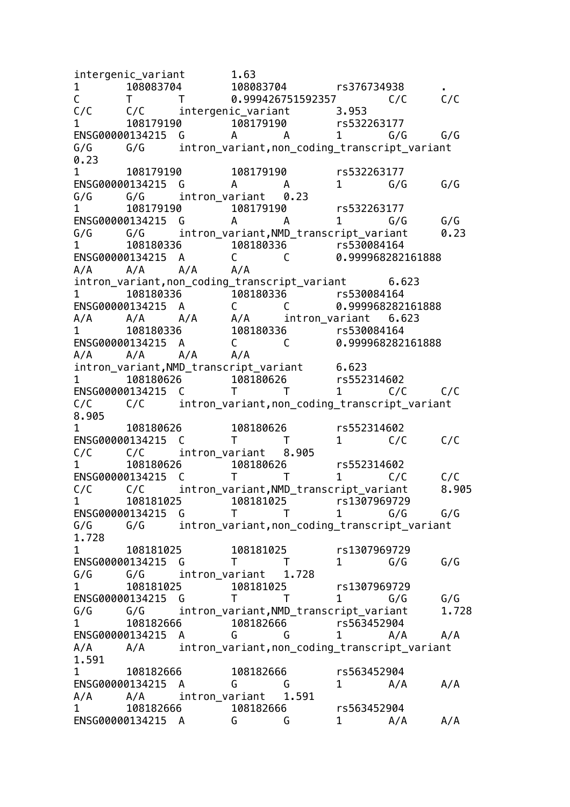intergenic variant 1.63 1 108083704 108083704 rs376734938 . C T T 0.999426751592357 C/C C/C C/C C/C intergenic variant 3.953 1 108179190 108179190 rs532263177 ENSG00000134215 G A A 1 G/G G/G G/G G/G intron\_variant,non\_coding\_transcript\_variant 0.23 1 108179190 108179190 rs532263177 ENSG00000134215 G A A 1 G/G G/G G/G G/G intron\_variant 0.23 1 108179190 108179190 rs532263177 ENSG00000134215 G A A 1 G/G G/G G/G G/G intron\_variant,NMD\_transcript\_variant 0.23 1 108180336 108180336 rs530084164 ENSG00000134215 A C C 0.999968282161888 A/A A/A A/A A/A intron variant.non coding transcript variant 6.623 1 108180336 108180336 rs530084164 ENSG00000134215 A C C 0.999968282161888 A/A A/A A/A A/A intron\_variant 6.623<br>1 108180336 108180336 15530084164 1 108180336 108180336 rs530084164 ENSG00000134215 A C C 0.999968282161888 A/A A/A A/A A/A intron\_variant,NMD\_transcript\_variant 6.623 1 108180626 108180626 rs552314602 ENSG00000134215 C T T 1 C/C C/C C/C C/C intron\_variant,non\_coding\_transcript\_variant 8.905 1 108180626 108180626 rs552314602 ENSG00000134215 C T T 1 C/C C/C C/C C/C intron\_variant 8.905 1 108180626 108180626 rs552314602 ENSG00000134215 C T T 1 C/C C/C C/C C/C intron variant,NMD transcript variant 8.905 1 108181025 108181025 rs1307969729 ENSG00000134215 G T T 1 G/G G/G G/G G/G intron\_variant,non\_coding\_transcript\_variant 1.728 1 108181025 108181025 rs1307969729 ENSG00000134215 G T T 1 G/G G/G G/G G/G intron\_variant 1.728 1 108181025 108181025 rs1307969729 ENSG00000134215 G T T 1 G/G G/G G/G G/G intron variant,NMD transcript variant 1.728 1 108182666 108182666 rs563452904 ENSG00000134215 A G G 1 A/A A/A A/A A/A intron variant, non coding transcript variant 1.591 1 108182666 108182666 rs563452904 ENSG00000134215 A G G 1 A/A A/A A/A A/A intron\_variant 1.591 1 108182666 108182666 rs563452904 ENSG00000134215 A G G 1 A/A A/A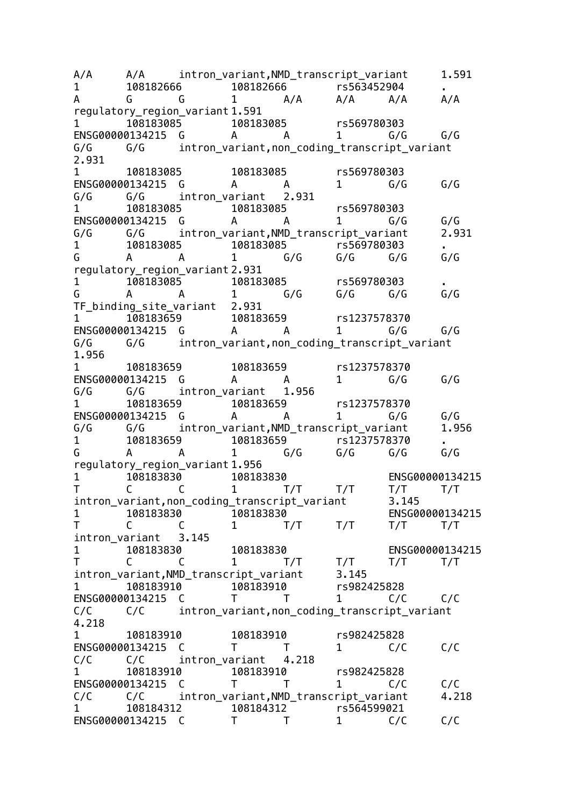A/A A/A intron variant,NMD transcript variant 1.591 1 108182666 108182666 rs563452904 . A G G 1 A/A A/A A/A A/A regulatory region variant 1.591 1 108183085 108183085 rs569780303 ENSG00000134215 G A A 1 G/G G/G G/G G/G intron\_variant,non\_coding\_transcript\_variant 2.931 1 108183085 108183085 rs569780303 ENSG00000134215 G A A 1 G/G G/G G/G G/G intron\_variant 2.931 1 108183085 108183085 rs569780303 ENSG00000134215 G A A 1 G/G G/G G/G G/G intron\_variant,NMD\_transcript\_variant 2.931 1 108183085 108183085 rs569780303 . G A A 1 G/G G/G G/G G/G regulatory\_region\_variant 2.931 1 108183085 108183085 rs569780303 . G A A 1 G/G G/G G/G G/G TF binding site variant 2.931 1 108183659 108183659 rs1237578370 ENSG00000134215 G A A 1 G/G G/G G/G G/G intron variant,non coding transcript variant 1.956 1 108183659 108183659 rs1237578370 ENSG00000134215 G A A 1 G/G G/G G/G G/G intron\_variant 1.956 1 108183659 108183659 rs1237578370 ENSG00000134215 G A A 1 G/G G/G G/G G/G intron\_variant,NMD\_transcript\_variant 1.956 1 108183659 108183659 rs1237578370 . G A A 1 G/G G/G G/G G/G regulatory\_region\_variant 1.956 1 108183830 108183830 ENSG00000134215 T C C 1 T/T T/T T/T T/T intron\_variant,non\_coding\_transcript\_variant 3.145 1 108183830 108183830 ENSG00000134215 T C C 1 T/T T/T T/T T/T intron\_variant 3.145 1 108183830 108183830 ENSG00000134215 T C C 1 T/T T/T T/T T/T intron variant, NMD transcript variant 3.145 1 108183910 108183910 rs982425828 ENSG00000134215 C T T 1 C/C C/C C/C C/C intron\_variant,non\_coding\_transcript\_variant 4.218 1 108183910 108183910 rs982425828 ENSG00000134215 C T T 1 C/C C/C C/C C/C intron\_variant 4.218 1 108183910 108183910 rs982425828 ENSG00000134215 C T T 1 C/C C/C C/C C/C intron\_variant,NMD\_transcript\_variant 4.218 1 108184312 108184312 rs564599021 ENSG00000134215 C T T 1 C/C C/C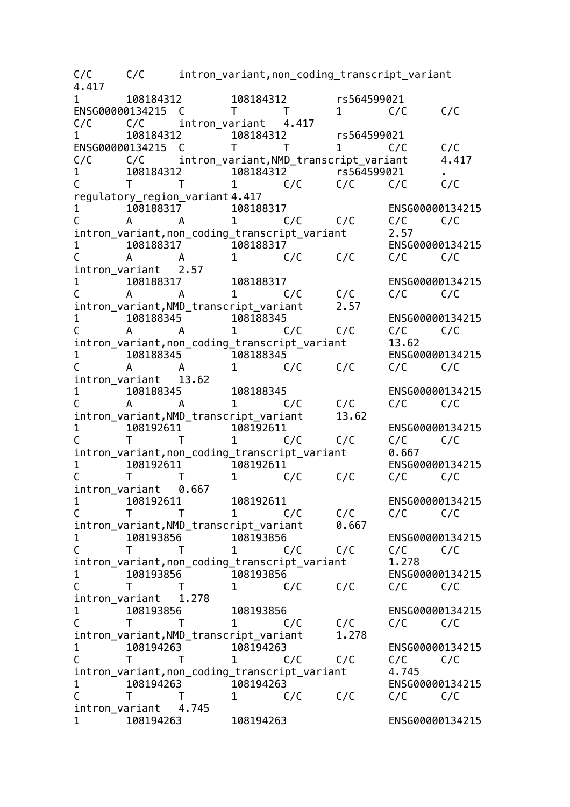C/C C/C intron\_variant,non\_coding\_transcript\_variant 4.417 1 108184312 108184312 rs564599021 ENSG00000134215 C T T 1 C/C C/C C/C C/C intron\_variant 4.417 1 108184312 108184312 rs564599021 ENSG00000134215 C T T 1 C/C C/C C/C C/C intron\_variant, NMD\_transcript\_variant 4.417 1 108184312 108184312 rs564599021 . C T T 1 C/C C/C C/C C/C regulatory\_region\_variant 4.417 1 108188317 108188317 ENSG00000134215 C A A 1 C/C C/C C/C C/C intron\_variant,non\_coding\_transcript\_variant 2.57 1 108188317 108188317 ENSG00000134215 C A A 1 C/C C/C C/C C/C intron\_variant 2.57 1 108188317 108188317 ENSG00000134215 C A A 1 C/C C/C C/C C/C intron variant, NMD transcript variant 2.57 1 108188345 108188345 ENSG00000134215<br>C A A 1 C/C C/C C/C C/C C A A 1 C/C C/C C/C C/C intron\_variant,non\_coding\_transcript\_variant 13.62 1 108188345 108188345 ENSG00000134215 C A A 1 C/C C/C C/C C/C intron variant 13.62 1 108188345 108188345 ENSG00000134215<br>C A A 1 C/C C/C C/C C/C C A A 1 C/C C/C C/C C/C intron variant, NMD transcript variant 13.62 1 108192611 108192611 ENSG00000134215 C T T 1 C/C C/C C/C C/C intron\_variant,non\_coding\_transcript\_variant 0.667 1 108192611 108192611 ENSG00000134215 C T T 1 C/C C/C C/C C/C intron\_variant 0.667 1 108192611 108192611 ENSG00000134215 C T T 1 C/C C/C C/C C/C intron\_variant,NMD\_transcript\_variant 0.667 1 108193856 108193856 ENSG00000134215 C T T 1 C/C C/C C/C C/C intron\_variant,non\_coding\_transcript\_variant 1.278 1 108193856 108193856 ENSG00000134215 C T T 1 C/C C/C C/C C/C intron\_variant 1.278 1 108193856 108193856 ENSG00000134215 C T T 1 C/C C/C C/C C/C intron\_variant, NMD\_transcript\_variant 1.278<br>1 108194263 108194263 1 108194263 108194263 ENSG00000134215 C T T 1 C/C C/C C/C C/C intron\_variant,non\_coding\_transcript\_variant 4.745<br>1 108194263 108194263 1 108194263 108194263 ENSG00000134215 C T T 1 C/C C/C C/C C/C intron\_variant 4.745 1 108194263 108194263 ENSG00000134215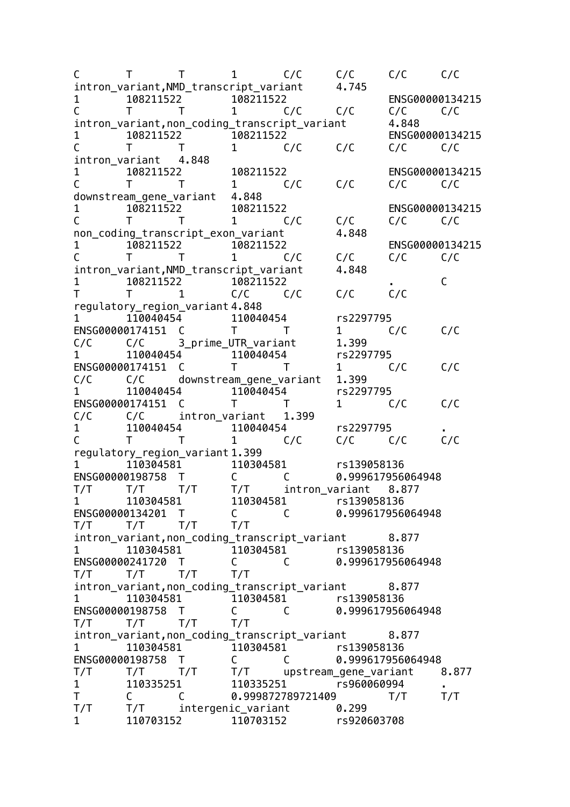C T T 1 C/C C/C C/C C/C intron\_variant,NMD\_transcript\_variant 4.745 1 108211522 108211522 ENSG00000134215 C T T 1 C/C C/C C/C C/C intron variant, non\_coding\_transcript\_variant 4.848 1 108211522 108211522 ENSG00000134215 C T T 1 C/C C/C C/C C/C intron\_variant 4.848 1 108211522 108211522 ENSG00000134215 C T T 1 C/C C/C C/C C/C downstream\_gene\_variant 4.848 1 108211522 108211522 ENSG00000134215 C T T 1 C/C C/C C/C C/C non\_coding\_transcript\_exon\_variant 4.848 1 108211522 108211522 ENSG00000134215 C T T 1 C/C C/C C/C C/C intron variant, NMD transcript variant 4.848 1 108211522 108211522 . C T T 1 C/C C/C C/C C/C regulatory\_region\_variant 4.848 1 110040454 110040454 rs2297795<br>ENSG00000174151 C T T 1 1 ENSG00000174151 C T T 1 C/C C/C C/C C/C 3 prime UTR variant 1.399 1 110040454 110040454 rs2297795 ENSG00000174151 C T T 1 C/C C/C C/C C/C downstream gene variant 1.399 1 110040454 110040454 rs2297795 ENSG00000174151 C T T 1 C/C C/C C/C C/C intron\_variant 1.399 1 110040454 110040454 rs2297795 . C T T 1 C/C C/C C/C C/C regulatory\_region\_variant 1.399 1 110304581 110304581 rs139058136 ENSG00000198758 T C C 0.999617956064948<br>T/T T/T T/T T/T intron variant 8.877 T/T T/T T/T T/T intron\_variant 8.877 1 110304581 110304581 rs139058136 ENSG00000134201 T C C 0.999617956064948 T/T T/T T/T T/T intron\_variant,non\_coding\_transcript\_variant 8.877 1 110304581 110304581 rs139058136 ENSG00000241720 T C C 0.999617956064948 T/T T/T T/T T/T intron variant,non coding transcript variant 8.877 1 110304581 110304581 rs139058136 ENSG00000198758 T C C 0.999617956064948 T/T T/T T/T T/T intron\_variant,non\_coding\_transcript\_variant 8.877 1 110304581 110304581 rs139058136 ENSG00000198758 T C C 0.999617956064948<br>T/T T/T T/T T/T upstream gene variant T/T T/T T/T T/T upstream\_gene\_variant 8.877 1 110335251 110335251 rs960060994 . T C C 0.999872789721409 T/T T/T T/T T/T intergenic\_variant 0.299 1 110703152 110703152 rs920603708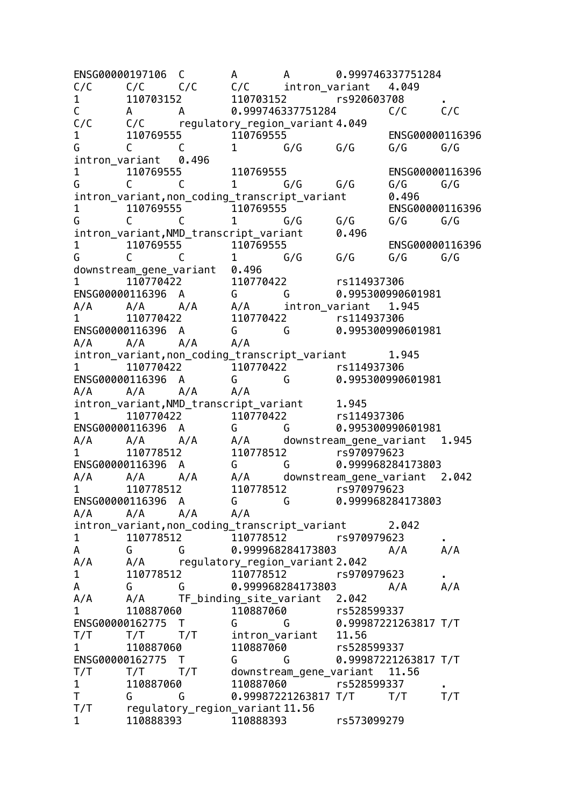ENSG00000197106 C A A 0.999746337751284 C/C C/C C/C C/C intron\_variant 4.049 1 110703152 110703152 rs920603708 . C A A 0.999746337751284 C/C C/C C/C C/C regulatory\_region\_variant 4.049 1 110769555 110769555 ENSG00000116396 G C C 1 G/G G/G G/G G/G intron\_variant 0.496 1 110769555 110769555 ENSG00000116396 G C C 1 G/G G/G G/G G/G intron\_variant,non\_coding\_transcript\_variant 0.496 1 110769555 110769555 ENSG00000116396 G C C 1 G/G G/G G/G G/G intron\_variant,NMD\_transcript\_variant 0.496 1 110769555 110769555 ENSG00000116396 G C C 1 G/G G/G G/G G/G downstream\_gene\_variant 0.496<br>1 110770422 110770422 1 110770422 110770422 rs114937306 ENSG00000116396 A G G 0.995300990601981 A/A A/A A/A A/A intron\_variant 1.945 1 110770422 110770422 rs114937306 ENSG00000116396 A G G 0.995300990601981 A/A A/A A/A A/A intron variant,non\_coding\_transcript\_variant 1.945 1 110770422 110770422 rs114937306 ENSG00000116396 A G G 0.995300990601981 A/A A/A A/A A/A intron\_variant, NMD\_transcript\_variant 1.945<br>1 10770422 110770422 116114 1 110770422 110770422 rs114937306 ENSG00000116396 A G G 0.995300990601981 A/A A/A A/A A/A downstream gene\_variant 1.945 1 110778512 110778512 rs970979623 ENSG00000116396 A G G 0.999968284173803 A/A A/A A/A A/A downstream gene variant 2.042 1 110778512 110778512 rs970979623 ENSG00000116396 A G G 0.999968284173803 A/A A/A A/A A/A intron\_variant,non\_coding\_transcript\_variant 2.042 1 110778512 110778512 rs970979623 . A G G 0.999968284173803 A/A A/A A/A A/A regulatory region variant 2.042 1 110778512 110778512 rs970979623 . A G G 0.999968284173803 A/A A/A A/A A/A TF binding site variant 2.042 1 110887060 110887060 rs528599337 ENSG00000162775 T G G 0.99987221263817 T/T T/T T/T T/T intron\_variant 11.56 1 110887060 110887060 rs528599337 ENSG00000162775 T G G 0.99987221263817 T/T T/T T/T T/T downstream\_gene\_variant 11.56 1 110887060 110887060 rs528599337 **.**<br>T G G 0.99987221263817 T/T T/T T/T T G G 0.99987221263817 T/T T/T T/T T/T regulatory\_region\_variant 11.56 1 110888393 110888393 rs573099279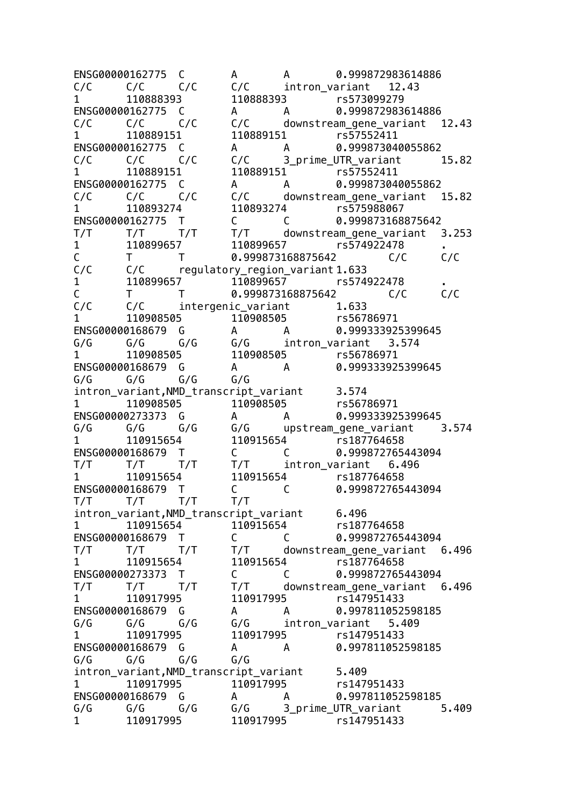ENSG00000162775 C A A 0.999872983614886 C/C C/C C/C C/C intron\_variant 12.43 1 110888393 110888393 rs573099279 ENSG00000162775 C A A 0.999872983614886  $C/C$   $C/C$   $C/C$   $C/C$  downstream\_gene\_variant 12.43<br>1 110889151 110889151 rs57552411 1 110889151 110889151 rs57552411 ENSG00000162775 C A A 0.999873040055862 C/C C/C C/C C/C 3\_prime\_UTR\_variant 15.82 1 110889151 110889151 rs57552411 ENSG00000162775 C A A 0.999873040055862 C/C C/C C/C C/C downstream\_gene\_variant 15.82 1 110893274 110893274 rs575988067 ENSG00000162775 T C C 0.999873168875642 T/T T/T T/T T/T downstream\_gene\_variant 3.253 1 110899657 110899657 rs574922478 . C T T 0.999873168875642 C/C C/C C/C C/C regulatory\_region\_variant 1.633<br>1 10899657 110899657 15574 1 110899657 110899657 rs574922478 .  $C = T$  T  $Q.999873168875642$   $C/C$   $C/C$   $C/C$   $C/C$ C/C C/C intergenic variant 1.633 1 110908505 110908505 rs56786971 ENSG00000168679 G A A 0.999333925399645 G/G G/G G/G G/G intron\_variant 3.574 1 110908505 110908505 rs56786971 ENSG00000168679 G A A 0.999333925399645 G/G G/G G/G G/G intron\_variant,NMD\_transcript\_variant 3.574 1 110908505 110908505 rs56786971 ENSG00000273373 G A A 0.999333925399645 G/G G/G G/G G/G upstream\_gene\_variant 3.574 1 110915654 110915654 rs187764658 ENSG00000168679 T C C 0.999872765443094 T/T T/T T/T T/T intron\_variant 6.496 1 110915654 110915654 rs187764658 ENSG00000168679 T C C 0.999872765443094 T/T T/T T/T T/T intron\_variant,NMD\_transcript\_variant 6.496 1 110915654 110915654 rs187764658 ENSG00000168679 T C C 0.999872765443094 T/T T/T T/T T/T downstream\_gene\_variant 6.496 1 110915654 110915654 rs187764658 ENSG00000273373 T C C 0.999872765443094 T/T T/T T/T T/T downstream\_gene\_variant 6.496 1 110917995 110917995 rs147951433 ENSG00000168679 G A A 0.997811052598185 G/G G/G G/G G/G intron\_variant 5.409 1 110917995 110917995 rs147951433 ENSG00000168679 G A A 0.997811052598185 G/G G/G G/G G/G intron variant, NMD transcript variant 5.409 1 110917995 110917995 rs147951433 ENSG00000168679 G A A 0.997811052598185  $G/G$   $G/G$   $G/G$   $G/G$  3 prime UTR variant 5.409 1 110917995 110917995 rs147951433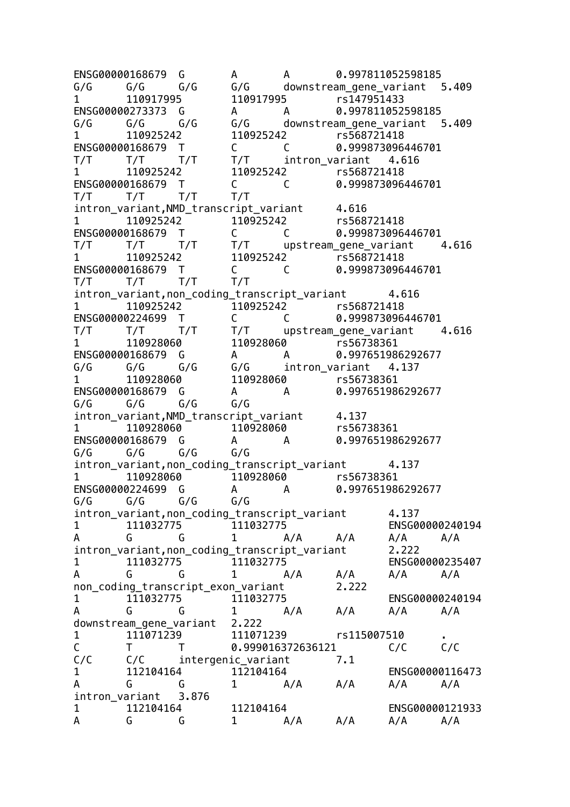ENSG00000168679 G A A 0.997811052598185 G/G G/G G/G G/G downstream\_gene\_variant 5.409 1 110917995 110917995 rs147951433 ENSG00000273373 G A A 0.997811052598185  $G/G$   $G/G$   $G/G$   $G/G$  downstream gene variant  $5.409$ 1 110925242 110925242 rs568721418 ENSG00000168679 T C C 0.999873096446701 T/T T/T T/T T/T intron\_variant 4.616 1 110925242 110925242 rs568721418 ENSG00000168679 T C C 0.999873096446701 T/T T/T T/T T/T intron variant, NMD transcript variant 4.616 1 110925242 110925242 rs568721418 ENSG00000168679 T C C 0.999873096446701 T/T T/T T/T T/T upstream\_gene\_variant 4.616 1 110925242 110925242 rs568721418 ENSG00000168679 T C C 0.999873096446701 T/T T/T T/T T/T intron variant, non coding transcript variant 4.616 1 110925242 110925242 rs568721418 ENSG00000224699 T C C 0.999873096446701 T/T T/T T/T T/T upstream\_gene\_variant 4.616 1 110928060 110928060 rs56738361 ENSG00000168679 G A A 0.997651986292677 G/G G/G G/G G/G intron\_variant 4.137 1 110928060 110928060 rs56738361 ENSG00000168679 G A A 0.997651986292677 G/G G/G G/G G/G intron variant, NMD transcript variant 4.137 1 110928060 110928060 rs56738361 ENSG00000168679 G A A 0.997651986292677 G/G G/G G/G G/G intron\_variant,non\_coding\_transcript\_variant 4.137 1 110928060 110928060 rs56738361 ENSG00000224699 G A A 0.997651986292677 G/G G/G G/G G/G intron\_variant, non\_coding\_transcript\_variant 4.137 1 111032775 111032775 ENSG00000240194 A G G 1 A/A A/A A/A A/A intron\_variant,non\_coding\_transcript\_variant 2.222 1 111032775 111032775 ENSG00000235407 A G G 1 A/A A/A A/A A/A non coding\_transcript\_exon\_variant 2.222 1 111032775 111032775 ENSG00000240194 A G G 1 A/A A/A A/A A/A downstream gene variant 2.222 1 111071239 111071239 rs115007510<br>C T T 0.999016372636121 C/C C/C T T 0.999016372636121 C/C C/C C/C intergenic variant 7.1 1 112104164 112104164 ENSG00000116473 A G G 1 A/A A/A A/A A/A intron\_variant 3.876 1 112104164 112104164 ENSG00000121933 A G G 1 A/A A/A A/A A/A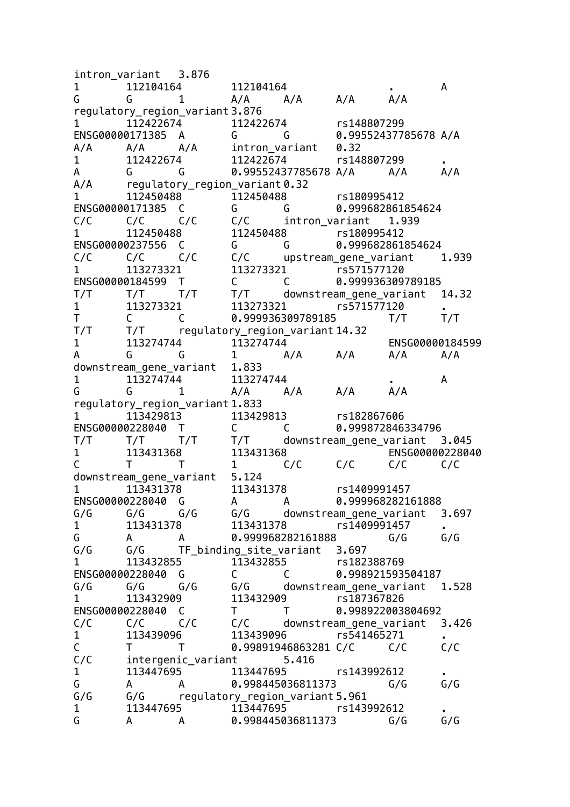intron\_variant 3.876 1 112104164 112104164 . A G G 1 A/A A/A A/A A/A regulatory\_region\_variant 3.876 1 112422674 112422674 rs148807299 ENSG00000171385 A G G 0.99552437785678 A/A A/A A/A A/A intron\_variant 0.32 1 112422674 112422674 rs148807299 . A G G 0.99552437785678 A/A A/A A/A A/A regulatory\_region\_variant 0.32 1 112450488 112450488 rs180995412 ENSG00000171385 C G G 0.999682861854624 C/C C/C C/C C/C intron\_variant 1.939 1 112450488 112450488 rs180995412 ENSG00000237556 C G G 0.999682861854624 C/C C/C C/C C/C upstream\_gene\_variant 1.939 1 113273321 113273321 rs571577120 ENSG00000184599 T C C 0.999936309789185 T/T T/T T/T T/T downstream\_gene\_variant 14.32 1 113273321 113273321 rs571577120 T C C 0.999936309789185 T/T T/T T/T T/T regulatory\_region\_variant 14.32 1 113274744 113274744 ENSG00000184599 A G G 1 A/A A/A A/A A/A downstream\_gene\_variant 1.833 1 113274744 113274744 **. A** G G 1 A/A A/A A/A A/A regulatory\_region\_variant 1.833 1 113429813 113429813 rs182867606 ENSG00000228040 T C C 0.999872846334796 T/T T/T T/T T/T downstream\_gene\_variant 3.045 1 113431368 113431368 ENSG00000228040 C T T 1 C/C C/C C/C C/C downstream gene variant 5.124 1 113431378 113431378 rs1409991457 ENSG00000228040 G A A 0.999968282161888 G/G G/G G/G G/G downstream\_gene\_variant 3.697 1 113431378 113431378 rs1409991457 G A A 0.999968282161888 G/G G/G G/G G/G TF\_binding\_site\_variant 3.697 1 113432855 113432855 rs182388769 ENSG00000228040 G C C 0.998921593504187  $G/G$   $G/G$   $G/G$   $G/G$  downstream gene variant 1.528 1 113432909 113432909 rs187367826 ENSG00000228040 C T T 0.998922003804692 C/C C/C C/C C/C downstream gene variant 3.426 1 113439096 113439096 rs541465271 .<br>C T T 0.99891946863281 C/C C/C C/C C T T 0.99891946863281 C/C C/C C/C C/C intergenic\_variant 5.416<br>1 113447695 113447695 1 113447695 113447695 rs143992612 . G A A 0.998445036811373 G/G G/G G/G G/G regulatory\_region\_variant 5.961<br>113447695 113447695 13447695 1 113447695 113447695 rs143992612 . G A A 0.998445036811373 G/G G/G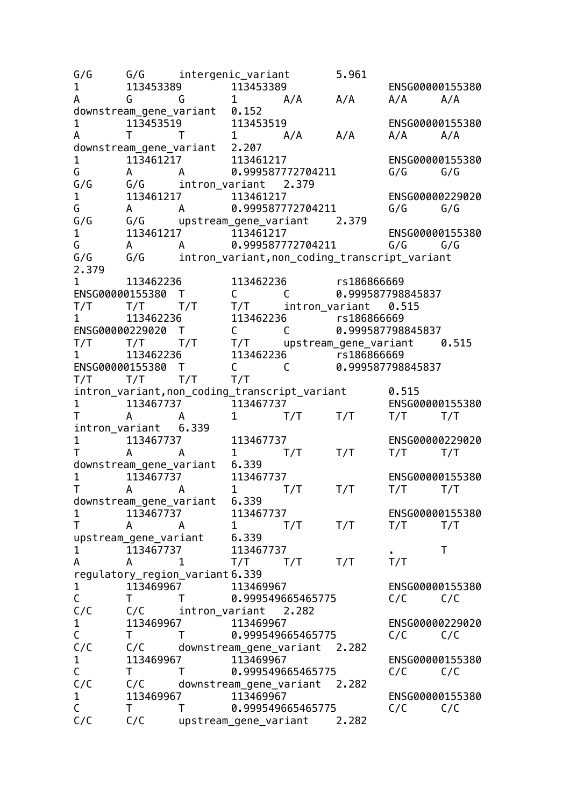G/G G/G intergenic variant 5.961 1 113453389 113453389 ENSG00000155380 A G G 1 A/A A/A A/A A/A downstream gene variant 0.152 1 113453519 113453519 ENSG00000155380 A T T 1 A/A A/A A/A A/A downstream gene variant 2.207 1 113461217 113461217 ENSG00000155380 G A A 0.999587772704211 G/G G/G G/G G/G intron\_variant 2.379 1 113461217 113461217 ENSG00000229020 G A A 0.999587772704211 G/G G/G G/G G/G upstream\_gene\_variant 2.379 1 113461217 113461217 ENSG00000155380 G A A 0.999587772704211 G/G G/G G/G G/G intron\_variant,non\_coding\_transcript\_variant 2.379 1 113462236 113462236 rs186866669 ENSG00000155380 T C C 0.999587798845837<br>T/T T/T T/T T/T intron\_variant 0.515 T/T T/T T/T T/T intron\_variant 0.515 1 113462236 113462236 rs186866669<br>ENSG00000229020 T C C 0.999587798845837 ENSG00000229020 T C C T/T T/T T/T T/T upstream\_gene\_variant 0.515 1 113462236 113462236 rs186866669 ENSG00000155380 T C C 0.999587798845837 T/T T/T T/T T/T intron\_variant,non\_coding\_transcript\_variant 0.515 1 113467737 113467737 ENSG00000155380 T A A 1 T/T T/T T/T T/T intron\_variant 6.339 1 113467737 113467737 ENSG00000229020 T A A 1 T/T T/T T/T T/T downstream gene variant 6.339 1 113467737 113467737 ENSG00000155380 T A A 1 T/T T/T T/T T/T downstream gene variant 6.339 1 113467737 113467737 ENSG00000155380 T A A 1 T/T T/T T/T T/T upstream\_gene\_variant 6.339 1 113467737 113467737 . T A A 1 T/T T/T T/T T/T regulatory\_region\_variant 6.339 1 113469967 113469967 ENSG00000155380 C T T 0.999549665465775 C/C C/C C/C C/C intron\_variant 2.282 1 113469967 113469967 ENSG00000229020<br>C T T 0.999549665465775 C/C C/C  $C$  T T 0.999549665465775  $C/C$   $C/C$   $C/C$ C/C downstream gene variant 2.282 1 113469967 113469967 ENSG00000155380 T T 0.999549665465775 C/C C/C C/C C/C downstream\_gene\_variant 2.282 1 113469967 113469967 ENSG00000155380  $C = T$  T  $0.999549665465775$   $C/C$   $C/C$   $C/C$ upstream gene variant 2.282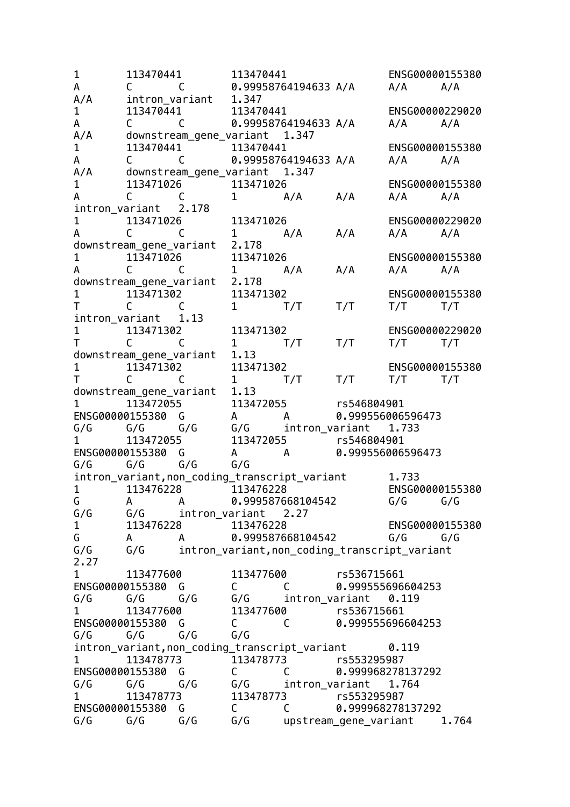1 113470441 113470441 ENSG00000155380 A C C 0.99958764194633 A/A A/A A/A A/A intron variant 1.347 1 113470441 113470441 ENSG00000229020 A C C 0.99958764194633 A/A A/A A/A A/A downstream\_gene\_variant 1.347 1 113470441 113470441 ENSG00000155380 A C C 0.99958764194633 A/A A/A A/A A/A downstream\_gene\_variant 1.347 1 113471026 113471026 ENSG00000155380 A C C 1 A/A A/A A/A A/A intron\_variant 2.178 1 113471026 113471026 ENSG00000229020 A C C 1 A/A A/A A/A A/A downstream\_gene\_variant 2.178 1 113471026 113471026 ENSG00000155380 A C C 1 A/A A/A A/A A/A downstream\_gene\_variant 2.178 1 113471302 113471302 ENSG00000155380 T C C 1 T/T T/T T/T T/T intron variant 1.13 1 113471302 113471302 ENSG00000229020<br>T C C 1 T/T T/T T/T T/T T C C 1 T/T T/T T/T T/T downstream gene variant 1.13 1 113471302 113471302 ENSG00000155380<br>
T C C 1 T/T T/T T/T T/T T C C 1 T/T T/T T/T T/T downstream gene variant 1.13 1 113472055 113472055 rs546804901 ENSG00000155380 G A A 0.999556006596473 G/G G/G G/G G/G intron\_variant 1.733 1 113472055 113472055 rs546804901 ENSG00000155380 G A A 0.999556006596473 G/G G/G G/G G/G intron variant, non coding transcript variant 1.733 1 113476228 113476228 ENSG00000155380 G A A 0.999587668104542 G/G G/G G/G G/G intron\_variant 2.27 1 113476228 113476228 ENSG00000155380 G A A 0.999587668104542 G/G G/G G/G G/G intron\_variant,non\_coding\_transcript\_variant 2.27 1 113477600 113477600 rs536715661 ENSG00000155380 G C C 0.999555696604253<br>G/G G/G G/G G/G intron variant 0.119  $G/G$   $G/G$   $G/G$  intron\_variant 0.119 1 113477600 113477600 rs536715661 ENSG00000155380 G C C 0.999555696604253 G/G G/G G/G G/G intron variant.non coding transcript variant 0.119 1 113478773 113478773 rs553295987 ENSG00000155380 G C C 0.999968278137292 G/G G/G G/G G/G intron\_variant 1.764 1 113478773 113478773 rs553295987 ENSG00000155380 G C C 0.999968278137292<br>G/G G/G G/G G/G upstream gene variant G/G G/G G/G G/G upstream\_gene\_variant 1.764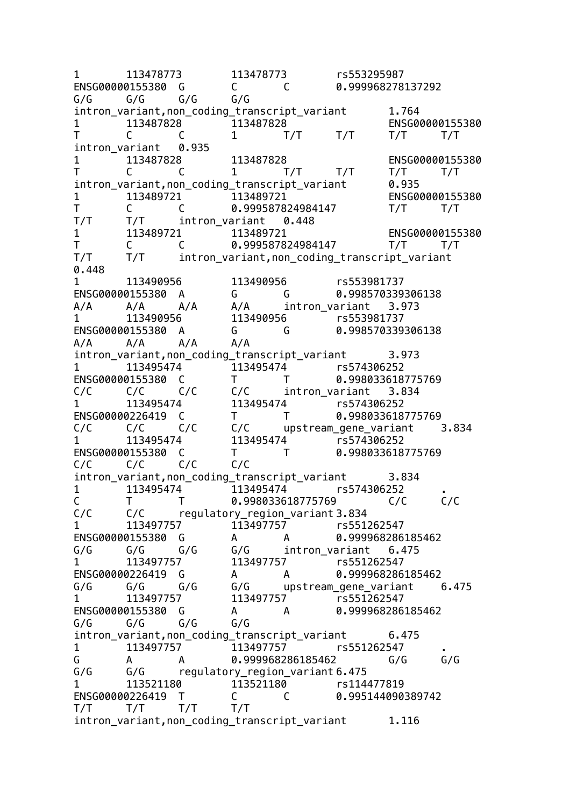1 113478773 113478773 rs553295987 ENSG00000155380 G C C 0.999968278137292 G/G G/G G/G G/G intron variant,non coding transcript variant 1.764 1 113487828 113487828 ENSG00000155380 T C C 1 T/T T/T T/T T/T intron\_variant 0.935 1 113487828 113487828 ENSG00000155380 T C C 1 T/T T/T T/T T/T intron\_variant,non\_coding\_transcript\_variant 0.935 1 113489721 113489721 ENSG00000155380 T C C 0.999587824984147 T/T T/T T/T T/T intron\_variant 0.448 1 113489721 113489721 ENSG00000155380 T C C 0.999587824984147 T/T T/T T/T T/T intron\_variant,non\_coding\_transcript\_variant 0.448 1 113490956 113490956 rs553981737<br>ENSG00000155380 A G G 0.998570339306138 ENSG00000155380 A G G A/A A/A A/A A/A intron\_variant 3.973 1 113490956 113490956 rs553981737 ENSG00000155380 A G G 0.998570339306138 A/A A/A A/A A/A intron\_variant,non\_coding\_transcript\_variant 3.973 1 113495474 113495474 rs574306252 ENSG00000155380 C T T 0.998033618775769 C/C C/C C/C C/C intron\_variant 3.834 1 113495474 113495474 rs574306252 ENSG00000226419 C T T 0.998033618775769 C/C C/C C/C C/C upstream\_gene\_variant 3.834 1 113495474 113495474 rs574306252 ENSG00000155380 C T T 0.998033618775769 C/C C/C C/C C/C intron variant, non coding transcript variant 3.834 1 113495474 113495474 rs574306252 . C T T 0.998033618775769 C/C C/C C/C C/C regulatory\_region\_variant 3.834 1 113497757 113497757 rs551262547 ENSG00000155380 G A A 0.999968286185462 G/G G/G G/G G/G intron\_variant 6.475 1 113497757 113497757 rs551262547 ENSG00000226419 G A A 0.999968286185462  $G/G$   $G/G$   $G/G$   $G/G$  upstream gene variant 6.475 1 113497757 113497757 rs551262547 ENSG00000155380 G A A 0.999968286185462 G/G G/G G/G G/G intron\_variant,non\_coding\_transcript\_variant 6.475 1 113497757 113497757 rs551262547 . G A A 0.999968286185462 G/G G/G G/G G/G regulatory\_region\_variant 6.475 1 113521180 113521180 rs114477819 ENSG00000226419 T C C 0.995144090389742 T/T T/T T/T T/T intron variant,non coding transcript variant 1.116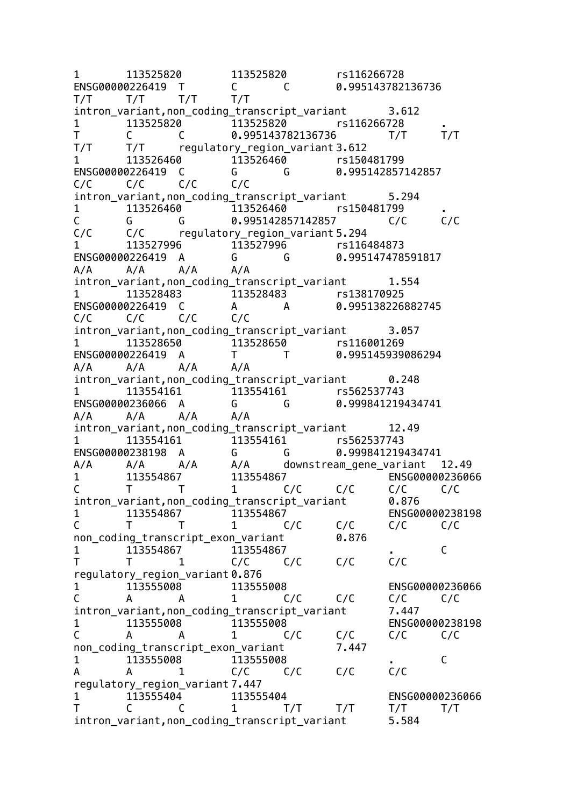1 113525820 113525820 rs116266728 ENSG00000226419 T C C 0.995143782136736 T/T T/T T/T T/T intron variant,non coding transcript variant 3.612 1 113525820 113525820 rs116266728 . T C C 0.995143782136736 T/T T/T T/T T/T regulatory\_region\_variant 3.612 1 113526460 113526460 rs150481799 ENSG00000226419 C G G 0.995142857142857 C/C C/C C/C C/C intron\_variant,non\_coding\_transcript\_variant 5.294 1 113526460 113526460 rs150481799 C G G 0.995142857142857 C/C C/C C/C C/C regulatory region variant 5.294 1 113527996 113527996 rs116484873 ENSG00000226419 A G G 0.995147478591817 A/A A/A A/A A/A intron variant.non coding transcript variant 1.554 1 113528483 113528483 rs138170925 ENSG00000226419 C A A 0.995138226882745 C/C C/C C/C C/C intron variant.non coding transcript variant 3.057 1 113528650 113528650 rs116001269 ENSG00000226419 A T T 0.995145939086294 A/A A/A A/A A/A intron\_variant,non\_coding\_transcript\_variant 0.248 1 113554161 113554161 rs562537743 ENSG00000236066 A G G 0.999841219434741 A/A A/A A/A A/A intron\_variant,non\_coding\_transcript\_variant 12.49 1 113554161 113554161 rs562537743 ENSG00000238198 A G G 0.999841219434741 A/A A/A A/A A/A downstream\_gene\_variant 12.49 1 113554867 113554867 ENSG00000236066 C T T 1 C/C C/C C/C C/C intron\_variant,non\_coding\_transcript\_variant 0.876 1 113554867 113554867 ENSG00000238198 C T T 1 C/C C/C C/C C/C non\_coding\_transcript\_exon\_variant 0.876 1 113554867 113554867 . C T T 1 C/C C/C C/C C/C regulatory\_region\_variant 0.876 1 113555008 113555008 ENSG00000236066 C A A 1 C/C C/C C/C C/C intron variant,non coding transcript variant 7.447 1 113555008 113555008 ENSG00000238198 C A A 1 C/C C/C C/C C/C non coding transcript exon variant 7.447  $\begin{array}{ccccccc}\n1 & 113555008 & & 113555008 & & & \n\end{array}$ A A 1 C/C C/C C/C C/C regulatory\_region\_variant 7.447 1 113555404 113555404 ENSG00000236066 T C C 1 T/T T/T T/T T/T intron variant, non coding transcript variant 5.584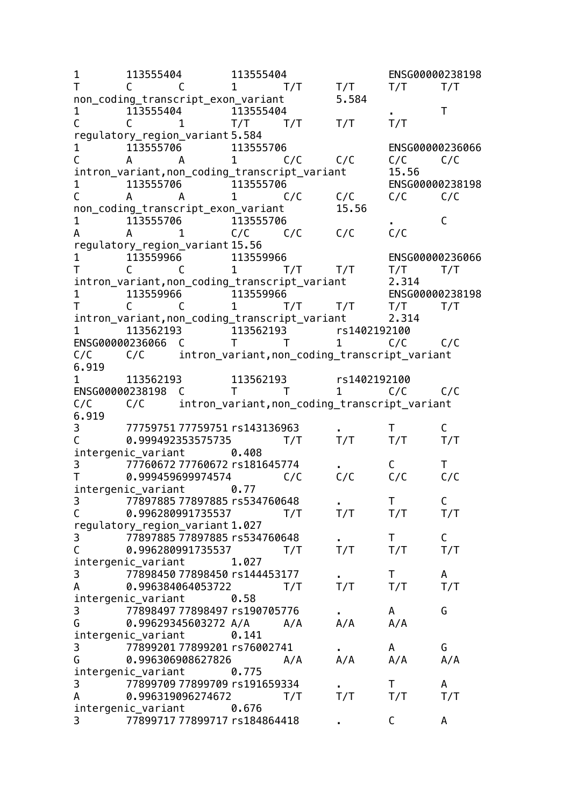1 113555404 113555404 ENSG00000238198 T C C 1 T/T T/T T/T T/T non coding transcript\_exon\_variant 5.584 1 113555404 113555404 . T<br>C C 1 T/T T/T T/T T/T C C 1 T/T T/T T/T T/T regulatory\_region\_variant 5.584 1 113555706 113555706 ENSG00000236066 C A A 1 C/C C/C C/C C/C intron\_variant, non\_coding\_transcript\_variant 15.56 1 113555706 113555706 ENSG00000238198 C A A 1 C/C C/C C/C C/C non\_coding\_transcript\_exon\_variant 15.56 1 113555706 113555706 . C A A 1 C/C C/C C/C C/C regulatory\_region\_variant 15.56 1 113559966 113559966 ENSG00000236066 T C C 1 T/T T/T T/T T/T intron variant, non coding transcript variant 2.314 1 113559966 113559966 ENSG00000238198 T C C 1 T/T T/T T/T T/T intron variant, non coding transcript variant 2.314 1 113562193 113562193 rs1402192100 ENSG00000236066 C T T 1 C/C C/C C/C C/C intron\_variant,non\_coding\_transcript\_variant 6.919 1 113562193 113562193 rs1402192100 ENSG00000238198 C T T 1 C/C C/C C/C C/C intron\_variant,non\_coding\_transcript\_variant 6.919 3 77759751 77759751 rs143136963 . T C C 0.999492353575735 T/T T/T T/T T/T intergenic\_variant 0.408 3 77760672 77760672 rs181645774 . C T T 0.999459699974574 C/C C/C C/C C/C intergenic variant 0.77 3 77897885 77897885 rs534760648 . T C C 0.996280991735537 T/T T/T T/T T/T regulatory\_region\_variant 1.027 3 77897885 77897885 rs534760648 . T C C 0.996280991735537 T/T T/T T/T T/T intergenic\_variant 1.027 3 77898450 77898450 rs144453177 . T A<br>A 0.996384064053722 T/T T/T T/T T/T A 0.996384064053722 T/T T/T T/T T/T intergenic\_variant 0.58 3 77898497 77898497 rs190705776 . A G G 0.99629345603272 A/A A/A A/A A/A intergenic\_variant 0.141 3 77899201 77899201 rs76002741 . A G G 0.996306908627826 A/A A/A A/A A/A intergenic variant 0.775 3 77899709 77899709 rs191659334 . T A A 0.996319096274672 T/T T/T T/T T/T intergenic\_variant 0.676 3 77899717 77899717 rs184864418 . C A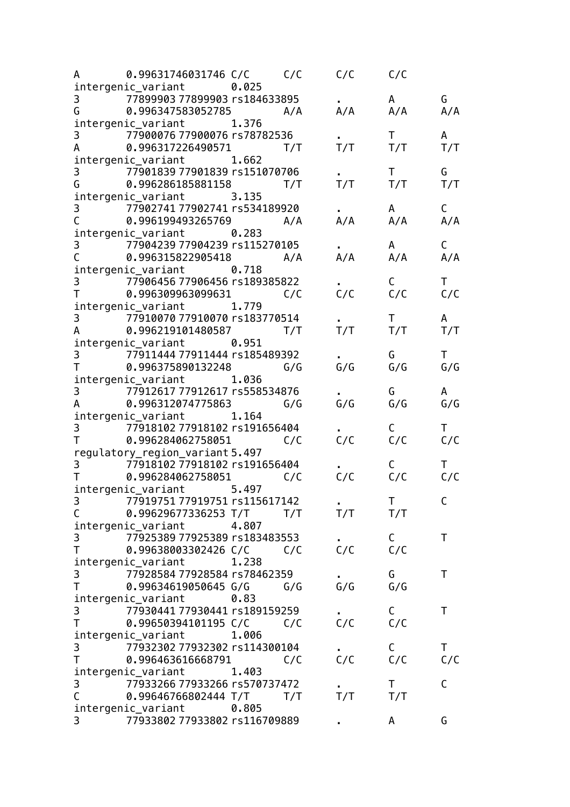|                                                                                                                                                                                                                                                                                                                                 | A 0.99631746031746 C/C C/C                                  |       |     | $C/C$ $C/C$ |                     |              |
|---------------------------------------------------------------------------------------------------------------------------------------------------------------------------------------------------------------------------------------------------------------------------------------------------------------------------------|-------------------------------------------------------------|-------|-----|-------------|---------------------|--------------|
|                                                                                                                                                                                                                                                                                                                                 | intergenic_variant 0.025                                    |       |     |             |                     |              |
|                                                                                                                                                                                                                                                                                                                                 | 3 77899903 77899903 rs184633895                             |       |     |             | A                   | G            |
|                                                                                                                                                                                                                                                                                                                                 | G 0.996347583052785 A/A                                     |       |     | A/A         | A/A                 | A/A          |
|                                                                                                                                                                                                                                                                                                                                 | intergenic_variant 1.376                                    |       |     |             |                     |              |
|                                                                                                                                                                                                                                                                                                                                 | 3 77900076 77900076 rs78782536                              |       |     |             | $\mathsf T$         | A            |
|                                                                                                                                                                                                                                                                                                                                 | A 0.996317226490571                                         |       | T/T | T/T         | T/T                 | T/T          |
|                                                                                                                                                                                                                                                                                                                                 | intergenic_variant 1.662                                    |       |     |             |                     |              |
|                                                                                                                                                                                                                                                                                                                                 | 3 77901839 77901839 rs151070706                             |       |     | T/T         | $\mathsf{T}$<br>T/T | G            |
|                                                                                                                                                                                                                                                                                                                                 | G 0.996286185881158 T/T                                     |       |     |             |                     | T/T          |
|                                                                                                                                                                                                                                                                                                                                 | intergenic_variant 3.135<br>3 77902741 77902741 rs534189920 |       |     |             | A                   | С            |
| $\mathsf{C}$                                                                                                                                                                                                                                                                                                                    | 0.996199493265769 A/A                                       |       |     | A/A         | A/A                 | A/A          |
|                                                                                                                                                                                                                                                                                                                                 | intergenic_variant 0.283                                    |       |     |             |                     |              |
|                                                                                                                                                                                                                                                                                                                                 | 3 77904239 77904239 rs115270105                             |       |     |             | A                   | $\mathsf{C}$ |
|                                                                                                                                                                                                                                                                                                                                 | C 0.996315822905418 A/A                                     |       |     | A/A         | A/A                 | A/A          |
|                                                                                                                                                                                                                                                                                                                                 | intergenic_variant 0.718                                    |       |     |             |                     |              |
|                                                                                                                                                                                                                                                                                                                                 | 3 77906456 77906456 rs189385822                             |       |     |             | C                   | $\mathsf{T}$ |
|                                                                                                                                                                                                                                                                                                                                 |                                                             |       |     | C/C         | C/C                 | C/C          |
|                                                                                                                                                                                                                                                                                                                                 | intergenic_variant 1.779                                    |       |     |             |                     |              |
|                                                                                                                                                                                                                                                                                                                                 | 3 77910070 77910070 rs183770514                             |       |     |             | $\mathsf{T}$        | $\mathsf{A}$ |
|                                                                                                                                                                                                                                                                                                                                 | A 0.996219101480587                                         |       | T/T | T/T         | T/T                 | T/T          |
|                                                                                                                                                                                                                                                                                                                                 | intergenic_variant 0.951                                    |       |     |             |                     |              |
|                                                                                                                                                                                                                                                                                                                                 | 3 77911444 77911444 rs185489392                             |       |     |             | G                   | T.           |
|                                                                                                                                                                                                                                                                                                                                 | T 0.996375890132248 G/G                                     |       |     | G/G         | G/G                 | G/G          |
|                                                                                                                                                                                                                                                                                                                                 | intergenic_variant 1.036                                    |       |     |             |                     |              |
|                                                                                                                                                                                                                                                                                                                                 | 3 77912617 77912617 rs558534876                             |       |     |             | G                   | A            |
| A                                                                                                                                                                                                                                                                                                                               | 0.996312074775863 G/G                                       |       |     | G/G         | G/G                 | G/G          |
|                                                                                                                                                                                                                                                                                                                                 | intergenic_variant 1.164                                    |       |     |             |                     |              |
|                                                                                                                                                                                                                                                                                                                                 | 3 77918102 77918102 rs191656404                             |       |     |             | $\mathsf{C}$        | $\mathsf T$  |
| $\mathsf T$ and $\mathsf T$ and $\mathsf T$ are $\mathsf T$ and $\mathsf T$ are $\mathsf T$ and $\mathsf T$ are $\mathsf T$ and $\mathsf T$ are $\mathsf T$ and $\mathsf T$ are $\mathsf T$ and $\mathsf T$ are $\mathsf T$ and $\mathsf T$ are $\mathsf T$ and $\mathsf T$ are $\mathsf T$ and $\mathsf T$ are $\mathsf T$ and | 0.996284062758051 C/C                                       |       |     | C/C         | C/C                 | C/C          |
|                                                                                                                                                                                                                                                                                                                                 | regulatory_region_variant 5.497                             |       |     |             |                     |              |
|                                                                                                                                                                                                                                                                                                                                 | 3 77918102 77918102 rs191656404                             |       |     |             |                     |              |
|                                                                                                                                                                                                                                                                                                                                 | T 0.996284062758051 C/C                                     |       |     | C/C         | C/C                 | C/C          |
|                                                                                                                                                                                                                                                                                                                                 | intergenic_variant 5.497                                    |       |     |             |                     |              |
| 3                                                                                                                                                                                                                                                                                                                               | 77919751 77919751 rs115617142                               |       |     | T/T         | $\mathsf{T}$        | С            |
| $\mathsf C$                                                                                                                                                                                                                                                                                                                     | 0.99629677336253 T/T T/T                                    | 4.807 |     |             | T/T                 |              |
| 3                                                                                                                                                                                                                                                                                                                               | intergenic_variant<br>77925389 77925389 rs183483553         |       |     |             | $\mathsf{C}$        | T            |
| T                                                                                                                                                                                                                                                                                                                               | 0.99638003302426 C/C                                        |       | C/C | C/C         | C/C                 |              |
|                                                                                                                                                                                                                                                                                                                                 | intergenic_variant                                          | 1.238 |     |             |                     |              |
| 3                                                                                                                                                                                                                                                                                                                               | 77928584 77928584 rs78462359                                |       |     |             | G                   | T            |
| $\mathsf{T}$                                                                                                                                                                                                                                                                                                                    | 0.99634619050645 G/G                                        |       | G/G | G/G         | G/G                 |              |
|                                                                                                                                                                                                                                                                                                                                 | intergenic_variant                                          | 0.83  |     |             |                     |              |
| 3                                                                                                                                                                                                                                                                                                                               | 77930441 77930441 rs189159259                               |       |     |             | C                   | T            |
| T.                                                                                                                                                                                                                                                                                                                              | 0.99650394101195 C/C                                        |       | C/C | C/C         | C/C                 |              |
|                                                                                                                                                                                                                                                                                                                                 | intergenic_variant                                          | 1.006 |     |             |                     |              |
| 3                                                                                                                                                                                                                                                                                                                               | 77932302 77932302 rs114300104                               |       |     |             | C                   | Τ            |
| T                                                                                                                                                                                                                                                                                                                               | 0.996463616668791                                           |       | C/C | C/C         | C/C                 | C/C          |
|                                                                                                                                                                                                                                                                                                                                 | intergenic_variant                                          | 1.403 |     |             |                     |              |
| 3                                                                                                                                                                                                                                                                                                                               | 77933266 77933266 rs570737472                               |       |     |             | T.                  | C            |
| $\mathsf{C}$                                                                                                                                                                                                                                                                                                                    | 0.99646766802444 T/T                                        |       | T/T | T/T         | T/T                 |              |
|                                                                                                                                                                                                                                                                                                                                 | intergenic_variant                                          | 0.805 |     |             |                     |              |
| 3                                                                                                                                                                                                                                                                                                                               | 77933802 77933802 rs116709889                               |       |     |             | A                   | G            |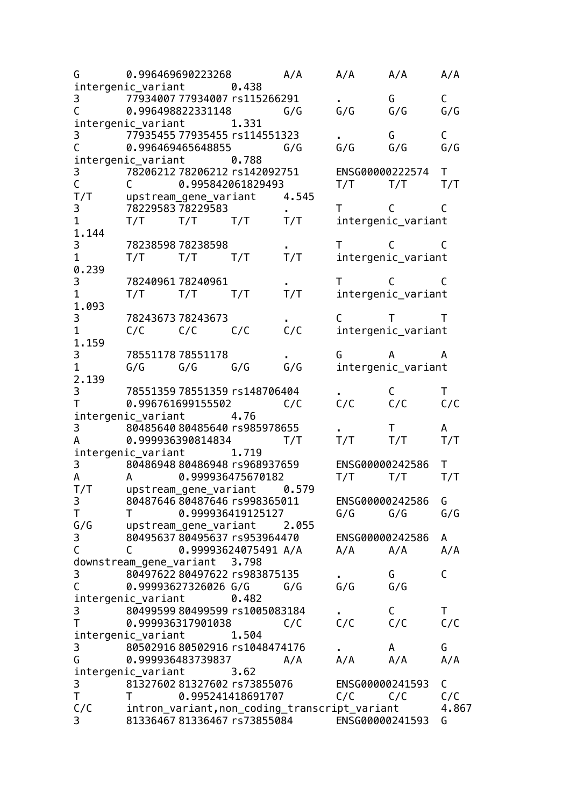| G                                                                                                                                                                                                                                                                                                                               |                                          | 0.996469690223268 A/A                         |       |       | A/A                           | A/A                           | A/A         |
|---------------------------------------------------------------------------------------------------------------------------------------------------------------------------------------------------------------------------------------------------------------------------------------------------------------------------------|------------------------------------------|-----------------------------------------------|-------|-------|-------------------------------|-------------------------------|-------------|
|                                                                                                                                                                                                                                                                                                                                 | intergenic_variant 0.438                 |                                               |       |       |                               |                               |             |
| 3                                                                                                                                                                                                                                                                                                                               | 77934007 77934007 rs115266291            |                                               |       |       |                               | G                             | C           |
| $\mathsf C$                                                                                                                                                                                                                                                                                                                     | 0.996498822331148                        |                                               |       | G/G   | G/G                           | G/G                           | G/G         |
|                                                                                                                                                                                                                                                                                                                                 | intergenic_variant 1.331                 |                                               |       |       |                               |                               |             |
|                                                                                                                                                                                                                                                                                                                                 | $\overline{179354557793545575114551323}$ |                                               |       |       |                               | G –                           | $\mathsf C$ |
| $\mathsf{C}$                                                                                                                                                                                                                                                                                                                    |                                          | 0.996469465648855                             |       | G/G   | G/G                           | G/G                           | G/G         |
|                                                                                                                                                                                                                                                                                                                                 | intergenic_variant 0.788                 |                                               |       |       |                               |                               |             |
| 3<br>C                                                                                                                                                                                                                                                                                                                          | 78206212 78206212 rs142092751            |                                               |       |       |                               | ENSG00000222574 T             |             |
|                                                                                                                                                                                                                                                                                                                                 | C                                        | 0.995842061829493                             |       |       | T/T                           | T/T                           | T/T         |
| T/T                                                                                                                                                                                                                                                                                                                             | upstream_gene_variant                    |                                               |       | 4.545 |                               |                               |             |
| 3                                                                                                                                                                                                                                                                                                                               | 78229583 78229583                        |                                               |       |       | $T \qquad C$                  |                               |             |
| $\mathbf 1$                                                                                                                                                                                                                                                                                                                     |                                          | $T/T$ $T/T$ $T/T$                             |       | T/T   |                               | intergenic_variant            |             |
| 1.144                                                                                                                                                                                                                                                                                                                           |                                          |                                               |       |       |                               |                               |             |
| 3                                                                                                                                                                                                                                                                                                                               |                                          | 78238598 78238598                             |       |       |                               | $\mathsf{T}$ c c              | C           |
| $\mathbf{1}$                                                                                                                                                                                                                                                                                                                    | T/T                                      | $T/T$ $T/T$                                   |       | T/T   |                               | intergenic_variant            |             |
| 0.239                                                                                                                                                                                                                                                                                                                           |                                          |                                               |       |       |                               |                               |             |
| 3                                                                                                                                                                                                                                                                                                                               |                                          | 7824096178240961                              |       |       | $\mathsf{T}$ and $\mathsf{T}$ | $\mathsf{C}$ and $\mathsf{C}$ | C           |
| $\mathbf{1}$                                                                                                                                                                                                                                                                                                                    |                                          | $T/T$ $T/T$ $T/T$                             |       | T/T   |                               | intergenic_variant            |             |
| 1.093                                                                                                                                                                                                                                                                                                                           |                                          |                                               |       |       |                               |                               |             |
| 3                                                                                                                                                                                                                                                                                                                               |                                          | 78243673 78243673                             |       |       | $C$ T                         |                               | T           |
| $\mathbf{1}$                                                                                                                                                                                                                                                                                                                    |                                          | $C/C$ $C/C$                                   | C/C   | C/C   |                               | intergenic_variant            |             |
| 1.159                                                                                                                                                                                                                                                                                                                           |                                          |                                               |       |       |                               |                               |             |
| 3 <sup>7</sup>                                                                                                                                                                                                                                                                                                                  |                                          | 78551178 78551178                             |       |       | G                             | $\overline{A}$                | A           |
| $\mathbf{1}$                                                                                                                                                                                                                                                                                                                    |                                          | $G/G$ $G/G$ $G/G$                             |       | G/G   |                               | intergenic_variant            |             |
| 2.139                                                                                                                                                                                                                                                                                                                           |                                          |                                               |       |       |                               |                               |             |
| $3 \quad \blacksquare$                                                                                                                                                                                                                                                                                                          | 78551359 78551359 rs148706404            |                                               |       |       |                               | C —                           | T           |
| $\mathsf T$ and $\mathsf T$ and $\mathsf T$ are $\mathsf T$ and $\mathsf T$ are $\mathsf T$ and $\mathsf T$ are $\mathsf T$ and $\mathsf T$ are $\mathsf T$ and $\mathsf T$ are $\mathsf T$ and $\mathsf T$ are $\mathsf T$ and $\mathsf T$ are $\mathsf T$ and $\mathsf T$ are $\mathsf T$ and $\mathsf T$ are $\mathsf T$ and |                                          | 0.996761699155502                             |       | C/C   | C/C                           | C/C                           | C/C         |
|                                                                                                                                                                                                                                                                                                                                 | intergenic_variant 4.76                  |                                               |       |       |                               |                               |             |
| $\mathsf{3}$                                                                                                                                                                                                                                                                                                                    | 80485640 80485640 rs985978655            |                                               |       |       |                               | $\mathsf{T}$                  | A           |
| A                                                                                                                                                                                                                                                                                                                               |                                          | 0.999936390814834                             |       | T/T   | T/T                           | T/T                           | T/T         |
|                                                                                                                                                                                                                                                                                                                                 | intergenic_variant 1.719                 |                                               |       |       |                               |                               |             |
| $3 \quad \blacksquare$                                                                                                                                                                                                                                                                                                          |                                          | 80486948 80486948 rs968937659                 |       |       | ENSG00000242586               |                               | T           |
| $\mathsf{A}$                                                                                                                                                                                                                                                                                                                    |                                          | A 0.999936475670182                           |       |       | T/T                           | T/T                           | T/T         |
|                                                                                                                                                                                                                                                                                                                                 | T/T upstream_gene_variant 0.579          |                                               |       |       |                               |                               |             |
| 3                                                                                                                                                                                                                                                                                                                               |                                          | 80487646 80487646 rs998365011                 |       |       | ENSG00000242586               |                               | G           |
| Τ                                                                                                                                                                                                                                                                                                                               | T.                                       | 0.999936419125127                             |       |       | G/G                           | G/G                           | G/G         |
| G/G                                                                                                                                                                                                                                                                                                                             |                                          | upstream_gene_variant                         |       | 2.055 |                               |                               |             |
| 3                                                                                                                                                                                                                                                                                                                               |                                          | 80495637 80495637 rs953964470                 |       |       | ENSG00000242586               |                               | A           |
| $\mathsf C$                                                                                                                                                                                                                                                                                                                     | C                                        | 0.99993624075491 A/A                          |       |       | A/A                           | A/A                           | A/A         |
|                                                                                                                                                                                                                                                                                                                                 | downstream_gene_variant 3.798            |                                               |       |       |                               |                               |             |
|                                                                                                                                                                                                                                                                                                                                 |                                          | 80497622 80497622 rs983875135                 |       |       |                               | G                             | C           |
| $rac{3}{C}$                                                                                                                                                                                                                                                                                                                     |                                          | 0.99993627326026 G/G                          |       | G/G   | G/G                           | G/G                           |             |
|                                                                                                                                                                                                                                                                                                                                 | intergenic_variant                       |                                               | 0.482 |       |                               |                               |             |
| 3                                                                                                                                                                                                                                                                                                                               |                                          | 80499599 80499599 rs1005083184                |       |       |                               |                               | Τ           |
| T                                                                                                                                                                                                                                                                                                                               |                                          | 0.999936317901038                             |       | C/C   | C/C                           | C<br>C/C                      | C/C         |
|                                                                                                                                                                                                                                                                                                                                 |                                          |                                               |       |       |                               |                               |             |
|                                                                                                                                                                                                                                                                                                                                 | intergenic_variant                       |                                               | 1.504 |       |                               |                               |             |
| $\mathbf{3}$                                                                                                                                                                                                                                                                                                                    |                                          | 80502916 80502916 rs1048474176                |       |       |                               | A                             | G           |
| G                                                                                                                                                                                                                                                                                                                               |                                          | 0.999936483739837                             |       | A/A   | A/A                           | A/A                           | A/A         |
|                                                                                                                                                                                                                                                                                                                                 | intergenic_variant                       |                                               | 3.62  |       |                               |                               |             |
| 3                                                                                                                                                                                                                                                                                                                               |                                          | 81327602 81327602 rs73855076                  |       |       | ENSG00000241593               |                               | С           |
| T.                                                                                                                                                                                                                                                                                                                              | T                                        | 0.995241418691707                             |       |       | C/C                           | C/C                           | C/C         |
| C/C                                                                                                                                                                                                                                                                                                                             |                                          | intron_variant, non_coding_transcript_variant |       |       |                               |                               | 4.867       |
| 3                                                                                                                                                                                                                                                                                                                               |                                          | 81336467 81336467 rs73855084 ENSG00000241593  |       |       |                               |                               | G           |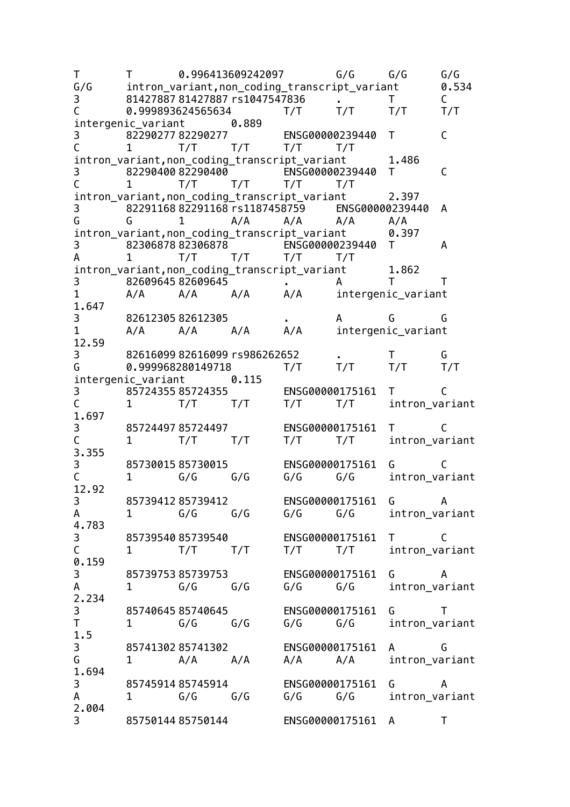T T 0.996413609242097 G/G G/G G/G G/G intron\_variant,non\_coding\_transcript\_variant 0.534 3 81427887 81427887 rs1047547836 . T C C 0.999893624565634 T/T T/T T/T T/T intergenic variant 0.889 3 82290277 82290277 ENSG00000239440 T C C 1 T/T T/T T/T T/T intron\_variant,non\_coding\_transcript\_variant 1.486 3 82290400 82290400 ENSG00000239440 T C C 1 T/T T/T T/T T/T intron\_variant,non\_coding\_transcript\_variant 2.397 3 82291168 82291168 rs1187458759 ENSG00000239440 A G G 1 A/A A/A A/A A/A intron\_variant,non\_coding\_transcript\_variant 0.397 3 82306878 82306878 ENSG00000239440 T A A 1 T/T T/T T/T T/T intron variant, non coding transcript variant 1.862 3 82609645 82609645 . A T T 1 A/A A/A A/A A/A intergenic variant 1.647 3 82612305 82612305 . A G G 1 A/A A/A A/A A/A intergenic variant 12.59 3 82616099 82616099 rs986262652 . T<br>G 0.999968280149718 T/T T/T T/T T G 0.999968280149718 T/T T/T T/T T/T intergenic variant 0.115 3 85724355 85724355 ENSG00000175161 T C<br>C 1 T/T T/T T/T T/T T/T intron var 1 T/T T/T T/T T/T intron\_variant 1.697 3 85724497 85724497 ENSG00000175161 T C C 1 T/T T/T T/T T/T intron\_variant 3.355 3 85730015 85730015 ENSG00000175161 G C C 1 G/G G/G G/G G/G intron\_variant 12.92 3 85739412 85739412 ENSG00000175161 G A A 1 G/G G/G G/G G/G intron\_variant 4.783 3 85739540 85739540 ENSG00000175161 T C C 1 T/T T/T T/T T/T intron\_variant 0.159 3 85739753 85739753 ENSG00000175161 G A A 1 G/G G/G G/G G/G intron\_variant 2.234 3 85740645 85740645 ENSG00000175161 G T T 1 G/G G/G G/G G/G intron\_variant 1.5 3 85741302 85741302 ENSG00000175161 A G G 1 A/A A/A A/A A/A intron\_variant 1.694 3 85745914 85745914 ENSG00000175161 G A A 1 G/G G/G G/G G/G intron\_variant 2.004 3 85750144 85750144 ENSG00000175161 A T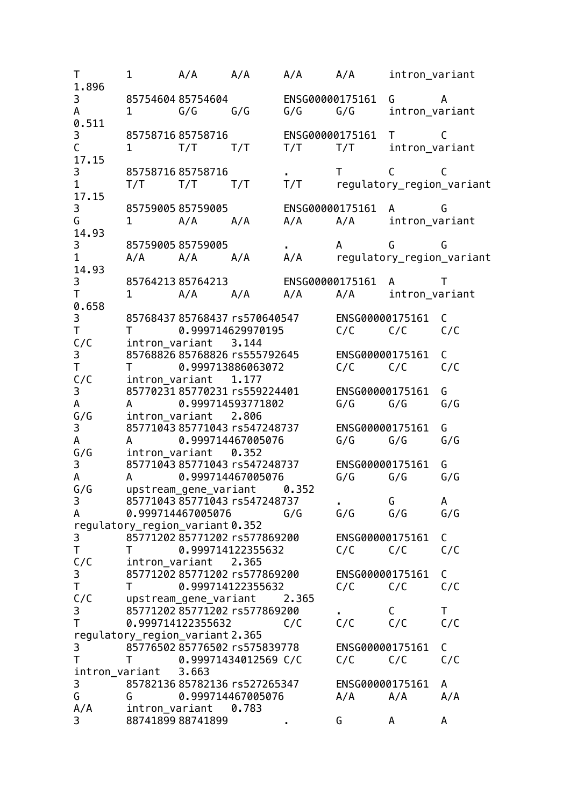T 1 A/A A/A A/A A/A intron\_variant 1.896 3 85754604 85754604 ENSG00000175161 G A A 1 G/G G/G G/G G/G intron\_variant 0.511 3 85758716 85758716 ENSG00000175161 T C C 1 T/T T/T T/T T/T trutron variant 17.15 3 85758716 85758716 . T C C 1 T/T T/T T/T T/T regulatory\_region\_variant 17.15 3 85759005 85759005 ENSG00000175161 A G G 1 A/A A/A A/A A/A intron\_variant 14.93 3 85759005 85759005 . A G G 1 A/A A/A A/A A/A regulatory\_region\_variant 14.93 3 85764213 85764213 ENSG00000175161 A T T 1 A/A A/A A/A A/A intron\_variant 0.658 3 85768437 85768437 rs570640547 ENSG00000175161 C T T 0.999714629970195 C/C C/C C/C intron variant 3.144 3 85768826 85768826 rs555792645 ENSG00000175161 C T T 0.999713886063072 C/C C/C C/C C/C intron variant 1.177 3 85770231 85770231 rs559224401 ENSG00000175161 G A A 0.999714593771802 G/G G/G G/G G/G intron variant 2.806 3 85771043 85771043 rs547248737 ENSG00000175161 G A A 0.999714467005076 G/G G/G G/G G/G intron\_variant 0.352 3 85771043 85771043 rs547248737 ENSG00000175161 G A A 0.999714467005076 G/G G/G G/G G/G upstream gene variant 0.352 3 85771043 85771043 rs547248737 . G A A 0.999714467005076 G/G G/G G/G G/G regulatory\_region\_variant 0.352 3 85771202 85771202 rs577869200 ENSG00000175161 C T T 0.999714122355632 C/C C/C C/C C/C intron\_variant 2.365 3 85771202 85771202 rs577869200 ENSG00000175161 C T T 0.999714122355632 C/C C/C C/C C/C upstream gene variant 2.365 3 85771202 85771202 rs577869200 . C T T 0.999714122355632 C/C C/C C/C C/C regulatory region variant 2.365 3 85776502 85776502 rs575839778 ENSG00000175161 C T T 0.99971434012569 C/C C/C C/C C/C intron\_variant 3.663 3 85782136 85782136 rs527265347 ENSG00000175161 A G G 0.999714467005076 A/A A/A A/A A/A intron variant 0.783 3 88741899 88741899 . G A A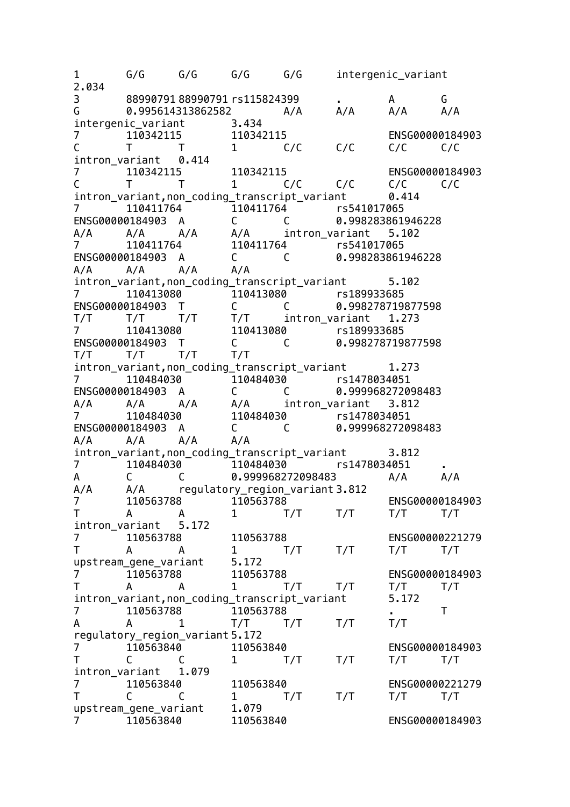1 G/G G/G G/G G/G intergenic\_variant 2.034 3 88990791 88990791 rs115824399 . A G G 0.995614313862582 A/A A/A A/A A/A intergenic\_variant 3.434 7 110342115 110342115 ENSG00000184903 C T T 1 C/C C/C C/C C/C intron\_variant 0.414 7 110342115 110342115 ENSG00000184903 C T T 1 C/C C/C C/C C/C intron\_variant,non\_coding\_transcript\_variant 0.414 7 110411764 110411764 rs541017065 ENSG00000184903 A C C 0.998283861946228 A/A A/A A/A A/A intron\_variant 5.102 7 110411764 110411764 rs541017065 ENSG00000184903 A C C 0.998283861946228 A/A A/A A/A A/A intron\_variant,non\_coding\_transcript\_variant 5.102 7 110413080 110413080 rs189933685 ENSG00000184903 T C C 0.998278719877598 T/T T/T T/T T/T intron\_variant 1.273 7 110413080 110413080 rs189933685 ENSG00000184903 T C C 0.998278719877598 T/T T/T T/T T/T intron\_variant,non\_coding\_transcript\_variant 1.273 7 110484030 110484030 rs1478034051 ENSG00000184903 A C C 0.999968272098483 A/A A/A A/A A/A intron\_variant 3.812 7 110484030 110484030 rs1478034051 ENSG00000184903 A C C 0.999968272098483 A/A A/A A/A A/A intron\_variant,non\_coding\_transcript\_variant 3.812 7 110484030 110484030 rs1478034051 . A C C 0.999968272098483 A/A A/A A/A A/A regulatory\_region\_variant 3.812 7 110563788 110563788 ENSG00000184903 T A A 1 T/T T/T T/T T/T intron\_variant 5.172 7 110563788 110563788 ENSG00000221279 T A A 1 T/T T/T T/T T/T upstream gene variant 5.172 7 110563788 110563788 ENSG00000184903<br>T A A 1 T/T T/T T/T T/T T A A 1 T/T T/T T/T T/T intron variant, non coding transcript variant 5.172 7 110563788 110563788 . T A A 1 T/T T/T T/T T/T regulatory region variant 5.172 7 110563840 110563840 ENSG00000184903 T C C 1 T/T T/T T/T T/T intron\_variant 1.079 7 110563840 110563840 ENSG00000221279 T C C 1 T/T T/T T/T T/T upstream gene variant 1.079 7 110563840 110563840 ENSG00000184903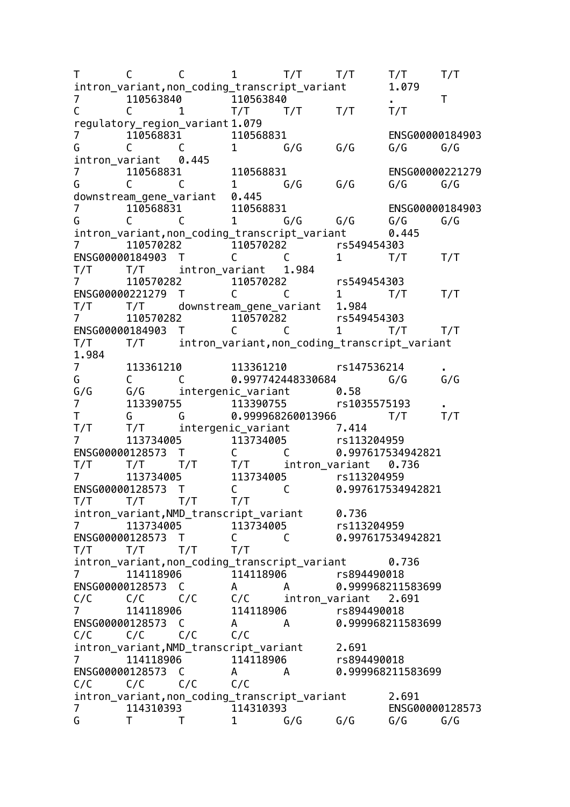T C C 1 T/T T/T T/T T/T intron\_variant,non\_coding\_transcript\_variant 1.079 7 110563840 110563840 . T C C 1 T/T T/T T/T T/T regulatory\_region\_variant 1.079 7 110568831 110568831 ENSG00000184903 G C C 1 G/G G/G G/G G/G intron\_variant 0.445 7 110568831 110568831 ENSG00000221279 G C C 1 G/G G/G G/G G/G downstream\_gene\_variant 0.445 7 110568831 110568831 ENSG00000184903 G C C 1 G/G G/G G/G G/G intron\_variant,non\_coding\_transcript\_variant 0.445 7 110570282 110570282 rs549454303 ENSG00000184903 T C C 1 T/T T/T T/T T/T intron\_variant 1.984 7 110570282 110570282 rs549454303 ENSG00000221279 T C C 1 T/T T/T T/T T/T downstream\_gene\_variant 1.984 7 110570282 110570282 rs549454303 ENSG00000184903 T C C 1 T/T T/T T/T T/T intron\_variant,non\_coding\_transcript\_variant 1.984 7 113361210 113361210 rs147536214 . G C C 0.997742448330684 G/G G/G G/G G/G intergenic\_variant 0.58 7 113390755 113390755 rs1035575193 . T G G 0.999968260013966 T/T T/T T/T T/T intergenic\_variant 7.414 7 113734005 113734005 rs113204959 ENSG00000128573 T C C 0.997617534942821 T/T T/T T/T T/T intron\_variant 0.736 7 113734005 113734005 rs113204959 ENSG00000128573 T C C 0.997617534942821 T/T T/T T/T T/T intron\_variant,NMD\_transcript\_variant 0.736 7 113734005 113734005 rs113204959 ENSG00000128573 T C C 0.997617534942821 T/T T/T T/T T/T intron\_variant,non\_coding\_transcript\_variant 0.736 7 114118906 114118906 rs894490018 ENSG00000128573 C A A 0.999968211583699<br>C/C C/C C/C C/C intron variant 2.691 C/C C/C C/C C/C intron\_variant 2.691 7 114118906 114118906 rs894490018 ENSG00000128573 C A A 0.999968211583699 C/C C/C C/C C/C intron variant.NMD transcript variant 2.691 7 114118906 114118906 rs894490018 ENSG00000128573 C A A 0.999968211583699 C/C C/C C/C C/C intron\_variant,non\_coding\_transcript\_variant 2.691 7 114310393 114310393 ENSG00000128573 G T T 1 G/G G/G G/G G/G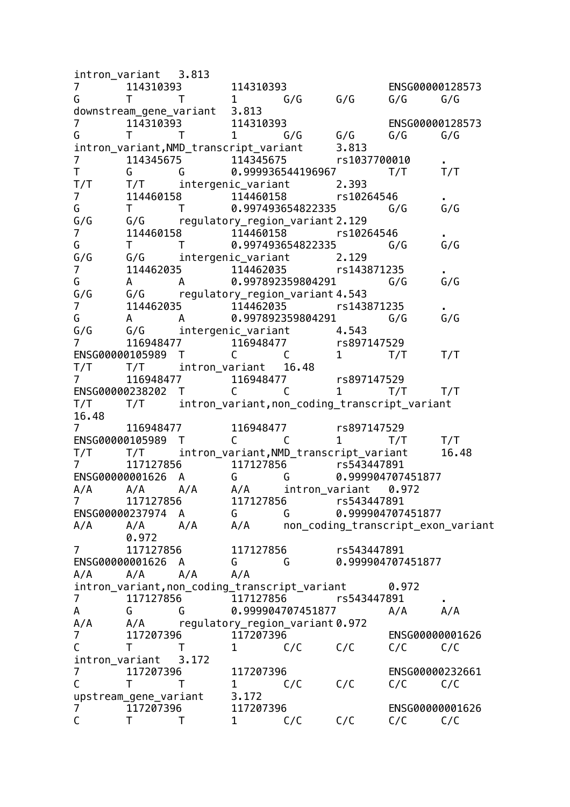intron\_variant 3.813 7 114310393 114310393 ENSG00000128573 G T T 1 G/G G/G G/G G/G downstream gene variant 3.813 7 114310393 114310393 ENSG00000128573 G T T 1 G/G G/G G/G G/G intron\_variant,NMD\_transcript\_variant 3.813 7 114345675 114345675 rs1037700010 . T G G 0.999936544196967 T/T T/T T/T T/T intergenic\_variant 2.393 7 114460158 114460158 rs10264546 . G T T 0.997493654822335 G/G G/G G/G G/G regulatory\_region\_variant 2.129 7 114460158 114460158 rs10264546 G T T 0.997493654822335 G/G G/G G/G G/G intergenic variant 2.129 7 114462035 114462035 rs143871235 . G A A 0.997892359804291 G/G G/G G/G G/G regulatory\_region\_variant 4.543<br>7 114462035 114462035 15143 114462035 114462035 rs143871235 G A A 0.997892359804291 G/G G/G G/G G/G intergenic variant 4.543 7 116948477 116948477 rs897147529 ENSG00000105989 T C C 1 T/T T/T T/T T/T intron\_variant 16.48 7 116948477 116948477 rs897147529 ENSG00000238202 T C C 1 T/T T/T T/T T/T intron variant,non coding transcript variant 16.48 7 116948477 116948477 rs897147529 ENSG00000105989 T C C 1 T/T T/T T/T T/T intron\_variant,NMD\_transcript\_variant 16.48 7 117127856 117127856 rs543447891 ENSG00000001626 A G G 0.999904707451877 A/A A/A A/A A/A intron\_variant 0.972 7 117127856 117127856 rs543447891 ENSG00000237974 A G G 0.999904707451877 A/A A/A A/A A/A non\_coding\_transcript\_exon\_variant 0.972 7 117127856 117127856 rs543447891 ENSG00000001626 A G G 0.999904707451877 A/A A/A A/A A/A intron variant, non coding transcript variant 0.972 7 117127856 117127856 rs543447891 . A G G 0.999904707451877 A/A A/A A/A A/A regulatory region variant 0.972 7 117207396 117207396 ENSG00000001626 C T T 1 C/C C/C C/C C/C intron\_variant 3.172 7 117207396 117207396 ENSG00000232661 C T T 1 C/C C/C C/C C/C upstream gene variant 3.172 7 117207396 117207396 ENSG00000001626 C T T 1 C/C C/C C/C C/C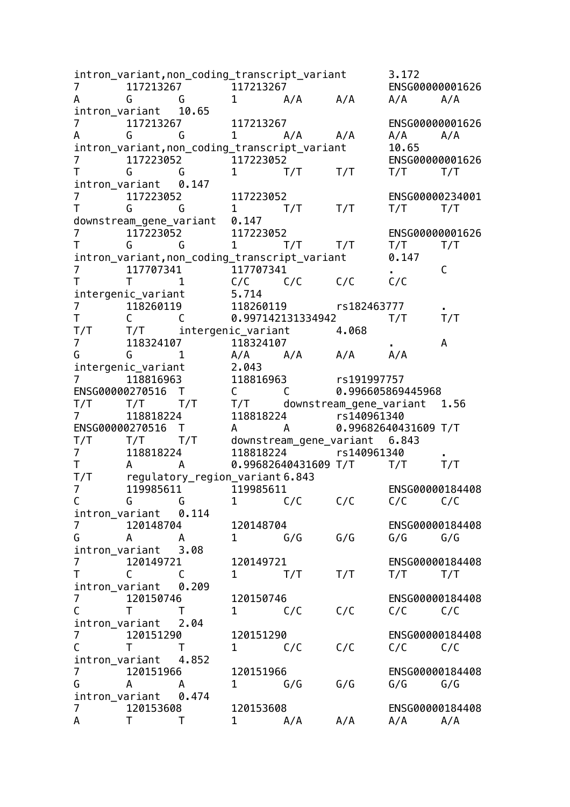intron\_variant,non\_coding\_transcript\_variant 3.172 7 117213267 117213267 ENSG00000001626 A G G 1 A/A A/A A/A A/A intron\_variant 10.65 7 117213267 117213267 ENSG00000001626 A G G 1 A/A A/A A/A A/A intron\_variant,non\_coding\_transcript\_variant 10.65 7 117223052 117223052 ENSG00000001626 T G G 1 T/T T/T T/T T/T intron\_variant 0.147 7 117223052 117223052 ENSG00000234001 T G G 1 T/T T/T T/T T/T downstream\_gene\_variant 0.147 7 117223052 117223052 ENSG00000001626 T G G 1 T/T T/T T/T T/T intron\_variant,non\_coding\_transcript\_variant 0.147  $\begin{array}{cccc} 7 & 7 & 117707341 \ 7 & 7 & 1 & 117707341 \end{array}$  . The matrix of the contract of the contract of contract of contract of contract of contract of contract of contract of contract of contract of contract of contract of co T T 1 C/C C/C C/C C/C intergenic\_variant 5.714 7 118260119 118260119 rs182463777 . T C C 0.997142131334942 T/T T/T T/T T/T intergenic\_variant 4.068<br>7 118324107 118324107 118324107 118324107 . A G G 1 A/A A/A A/A A/A intergenic\_variant 2.043 7 118816963 118816963 rs191997757 ENSG00000270516 T C C 0.996605869445968<br>T/T T/T T/T T/T downstream gene variant T/T T/T T/T T/T downstream\_gene\_variant 1.56 7 118818224 118818224 rs140961340 ENSG00000270516 T A A 0.99682640431609 T/T T/T T/T T/T downstream\_gene\_variant 6.843 7 118818224 118818224 rs140961340 . T A A 0.99682640431609 T/T T/T T/T T/T regulatory\_region\_variant 6.843 7 119985611 119985611 ENSG00000184408 C G G 1 C/C C/C C/C C/C intron\_variant 0.114 7 120148704 120148704 ENSG00000184408 G A A 1 G/G G/G G/G G/G intron\_variant 3.08 7 120149721 120149721 ENSG00000184408 T C C 1 T/T T/T T/T T/T intron\_variant 0.209 7 120150746 120150746 ENSG00000184408 C T T 1 C/C C/C C/C C/C intron\_variant 2.04 7 120151290 120151290 ENSG00000184408<br>C T T 1 C/C C/C C/C C/C C T T 1 C/C C/C C/C C/C intron\_variant 4.852 7 120151966 120151966 ENSG00000184408 G A A 1 G/G G/G G/G G/G intron\_variant 0.474 7 120153608 120153608 ENSG00000184408 A T T 1 A/A A/A A/A A/A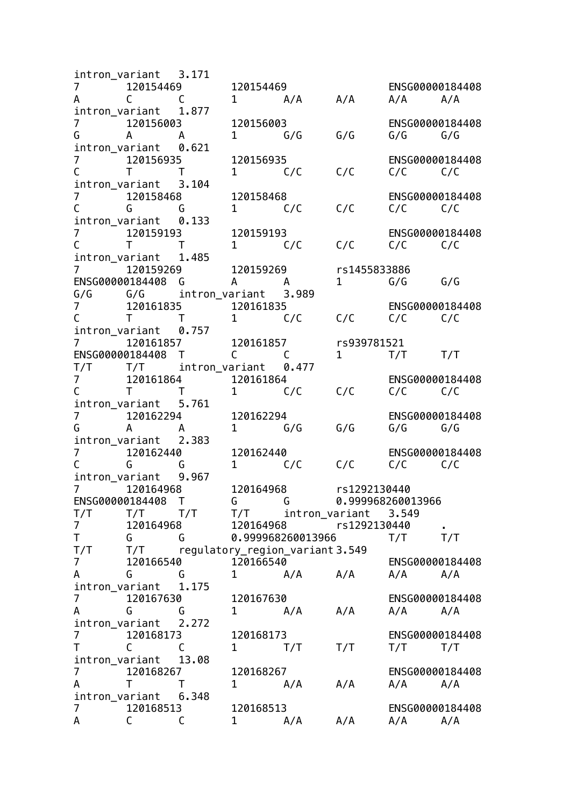intron\_variant 3.171 7 120154469 120154469 ENSG00000184408 A C C 1 A/A A/A A/A A/A intron\_variant 1.877 7 120156003 120156003 ENSG00000184408 G A A 1 G/G G/G G/G G/G intron\_variant 0.621 7 120156935 120156935 ENSG00000184408 C T T 1 C/C C/C C/C C/C intron\_variant 3.104 7 120158468 120158468 ENSG00000184408 C G G 1 C/C C/C C/C C/C intron\_variant 0.133 7 120159193 120159193 ENSG00000184408 C T T 1 C/C C/C C/C C/C intron\_variant 1.485<br>7 120159269 7 120159269 120159269 rs1455833886 ENSG00000184408 G A A 1 G/G G/G<br>G/G G/G intron\_variant 3.989 G/G G/G intron\_variant 3.989 7 120161835 120161835 ENSG00000184408 C T T 1 C/C C/C C/C C/C intron\_variant 0.757 7 120161857 120161857 rs939781521 ENSG00000184408 T C C 1 T/T T/T T/T T/T intron\_variant 0.477 7 120161864 120161864 ENSG00000184408 C T T 1 C/C C/C C/C C/C intron\_variant 5.761 7 120162294 120162294 ENSG00000184408 G A A 1 G/G G/G G/G G/G intron\_variant 2.383 7 120162440 120162440 ENSG00000184408 C G G 1 C/C C/C C/C C/C intron\_variant 9.967 7 120164968 120164968 rs1292130440 ENSG00000184408 T G G 0.999968260013966 T/T T/T T/T T/T intron\_variant 3.549 7 120164968 120164968 rs1292130440 . T G G 0.999968260013966 T/T T/T T/T T/T regulatory\_region\_variant 3.549 7 120166540 120166540 ENSG00000184408 A G G 1 A/A A/A A/A A/A intron\_variant 1.175 7 120167630 120167630 ENSG00000184408 A G G 1 A/A A/A A/A A/A intron\_variant 2.272 7 120168173 120168173 ENSG00000184408<br>T C C 1 T/T T/T T/T T/T T C C 1 T/T T/T T/T T/T intron\_variant 13.08 7 120168267 120168267 ENSG00000184408 A T T 1 A/A A/A A/A A/A intron\_variant 6.348 7 120168513 120168513 ENSG00000184408<br>A C C 1 A/A A/A A/A A/A A/A A C C 1 A/A A/A A/A A/A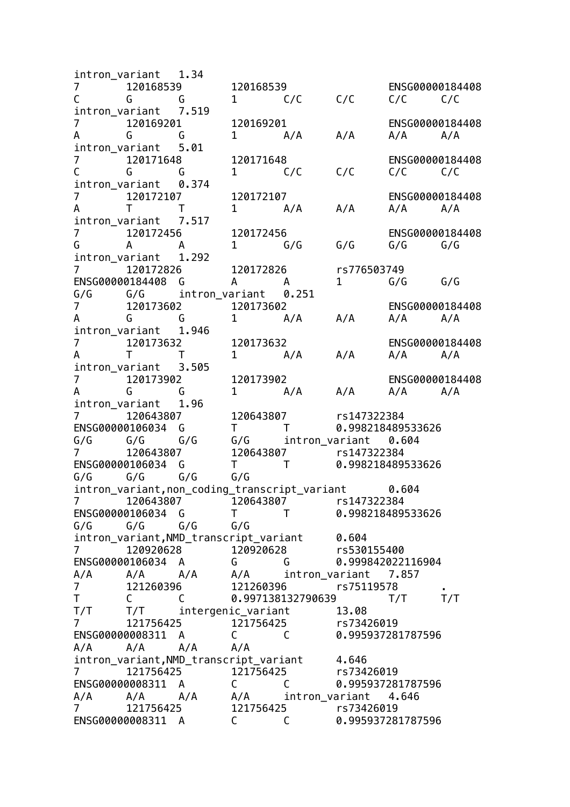intron\_variant 1.34 7 120168539 120168539 ENSG00000184408 C G G 1 C/C C/C C/C C/C intron\_variant 7.519 7 120169201 120169201 ENSG00000184408 A G G 1 A/A A/A A/A A/A intron\_variant 5.01 7 120171648 120171648 ENSG00000184408 C G G 1 C/C C/C C/C C/C intron\_variant 0.374 7 120172107 120172107 ENSG00000184408 A T T 1 A/A A/A A/A A/A intron\_variant 7.517 7 120172456 120172456 ENSG00000184408 G A A 1 G/G G/G G/G G/G intron\_variant 1.292 7 120172826 120172826 rs776503749 ENSG00000184408 G A A 1 G/G G/G G/G G/G intron\_variant 0.251 7 120173602 120173602 ENSG00000184408 A G G 1 A/A A/A A/A A/A intron\_variant 1.946 7 120173632 120173632 ENSG00000184408 A T T 1 A/A A/A A/A A/A intron\_variant 3.505 7 120173902 120173902 ENSG00000184408 A G G 1 A/A A/A A/A A/A intron\_variant 1.96 7 120643807 120643807 rs147322384 ENSG00000106034 G T T 0.998218489533626  $G/G$   $G/G$   $G/G$   $G/G$   $G$  intron\_variant 0.604 7 120643807 120643807 rs147322384 ENSG00000106034 G T T 0.998218489533626 G/G G/G G/G G/G intron\_variant,non\_coding\_transcript\_variant 0.604 7 120643807 120643807 rs147322384 ENSG00000106034 G T T 0.998218489533626 G/G G/G G/G G/G intron\_variant,NMD\_transcript\_variant 0.604 7 120920628 120920628 rs530155400 ENSG00000106034 A G G 0.999842022116904 A/A A/A A/A A/A intron\_variant 7.857 7 121260396 121260396 rs75119578 . C C 0.997138132790639 T/T T/T T/T T/T intergenic\_variant 13.08 7 121756425 121756425 rs73426019 ENSG00000008311 A C C 0.995937281787596 A/A A/A A/A A/A intron variant,NMD transcript variant 4.646 7 121756425 121756425 rs73426019 ENSG00000008311 A C C 0.995937281787596 A/A A/A A/A A/A intron\_variant 4.646<br>7 121756425 121756425 rs73426019 7 121756425 121756425 rs73426019<br>FNSG00000008311 A C C 0.99593728 ENSG00000008311 A C C 0.995937281787596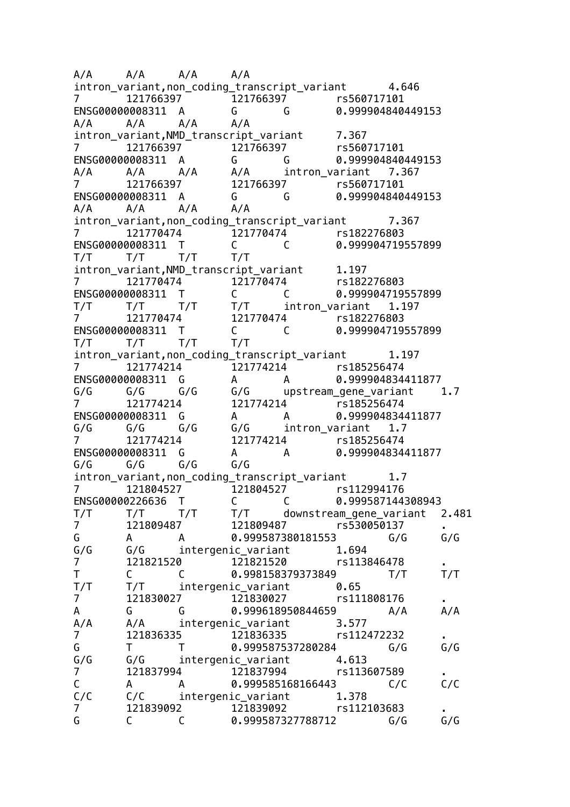A/A A/A A/A A/A intron\_variant, non\_coding\_transcript\_variant 4.646 7 121766397 121766397 rs560717101 ENSG00000008311 A G G 0.999904840449153 A/A A/A A/A A/A intron\_variant,NMD\_transcript\_variant 7.367 7 121766397 121766397 rs560717101 ENSG00000008311 A G G 0.999904840449153 A/A A/A A/A A/A intron\_variant 7.367 7 121766397 121766397 rs560717101 ENSG00000008311 A G G 0.999904840449153 A/A A/A A/A A/A intron\_variant,non\_coding\_transcript\_variant 7.367 7 121770474 121770474 rs182276803 ENSG00000008311 T C C 0.999904719557899 T/T T/T T/T T/T intron\_variant, NMD\_transcript\_variant 1.197<br>7 121770474 121770474 12178474 7 121770474 121770474 rs182276803 ENSG00000008311 T C C 0.999904719557899 T/T T/T T/T T/T intron\_variant 1.197 7 121770474 121770474 rs182276803 ENSG00000008311 T C C 0.999904719557899 T/T T/T T/T T/T intron\_variant, non\_coding\_transcript\_variant 1.197 7 121774214 121774214 rs185256474 ENSG00000008311 G A A 0.999904834411877 G/G G/G G/G G/G upstream\_gene\_variant 1.7 7 121774214 121774214 rs185256474 ENSG00000008311 G A A 0.999904834411877  $G/G$   $G/G$   $G/G$   $G/G$   $G$  intron\_variant 1.7 7 121774214 121774214 rs185256474 ENSG00000008311 G A A 0.999904834411877 G/G G/G G/G G/G intron variant,non coding transcript variant 1.7 7 121804527 121804527 rs112994176 ENSG00000226636 T C C 0.999587144308943 T/T T/T T/T T/T downstream\_gene\_variant 2.481 7 121809487 121809487 rs530050137 . G A A 0.999587380181553 G/G G/G G/G G/G intergenic\_variant 1.694 7 121821520 121821520 rs113846478 . T C C 0.998158379373849 T/T T/T T/T T/T intergenic variant 0.65 7 121830027 121830027 rs111808176 . A G G 0.999618950844659 A/A A/A<br>A/A A/A intergenic\_variant 3.577 A/A A/A intergenic variant 7 121836335 121836335 rs112472232 . G T T 0.999587537280284 G/G<br>G/G G/G intergenic variant 4.613 G/G intergenic variant 4.613 7 121837994 121837994 rs113607589 . C A A 0.999585168166443 C/C C/C C/C C/C intergenic variant 1.378 7 121839092 121839092 rs112103683<br>G C C 0.999587327788712 G/G G C C 0.999587327788712 G/G G/G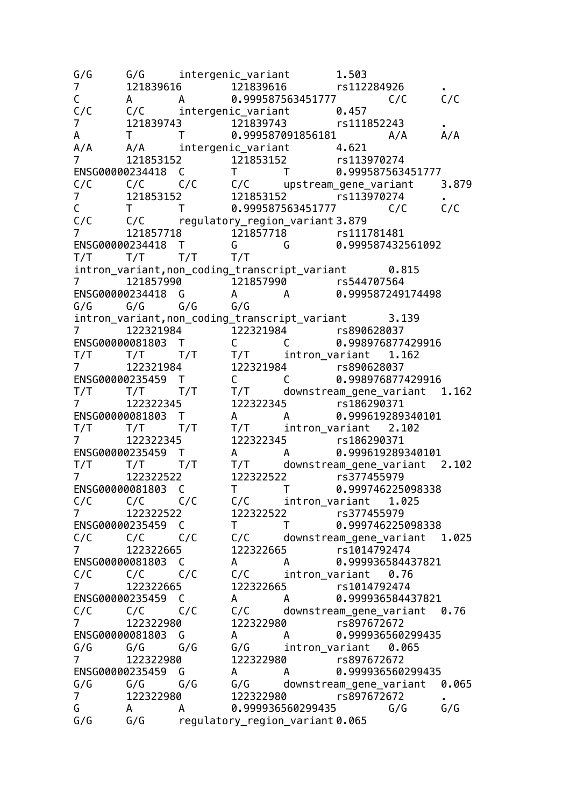G/G G/G intergenic variant 1.503 7 121839616 121839616 rs112284926 . C A A 0.999587563451777 C/C C/C C/C C/C intergenic variant 0.457 7 121839743 121839743 rs111852243 . A T T 0.999587091856181 A/A A/A A/A A/A intergenic\_variant 4.621 7 121853152 121853152 rs113970274 ENSG00000234418 C T T 0.999587563451777 C/C C/C C/C C/C upstream\_gene\_variant 3.879 7 121853152 121853152 rs113970274 . C T T 0.999587563451777 C/C C/C C/C C/C regulatory\_region\_variant 3.879 7 121857718 121857718 rs111781481 ENSG00000234418 T G G 0.999587432561092 T/T T/T T/T T/T intron variant, non coding transcript variant 0.815 7 121857990 121857990 rs544707564 ENSG00000234418 G A A 0.999587249174498 G/G G/G G/G G/G intron\_variant,non\_coding\_transcript\_variant 3.139 7 122321984 122321984 rs890628037 ENSG00000081803 T C C 0.998976877429916<br>T/T T/T T/T T/T intron variant 1.162 T/T T/T T/T T/T intron\_variant 1.162 7 122321984 122321984 rs890628037 ENSG00000235459 T C C 0.998976877429916 T/T T/T T/T T/T downstream\_gene\_variant 1.162 7 122322345 122322345 rs186290371 ENSG00000081803 T A A 0.999619289340101 T/T T/T T/T T/T intron\_variant 2.102 7 122322345 122322345 rs186290371 ENSG00000235459 T A A 0.999619289340101 T/T T/T T/T T/T downstream\_gene\_variant 2.102 7 122322522 122322522 rs377455979 ENSG00000081803 C T T 0.999746225098338 C/C C/C C/C C/C intron\_variant 1.025 7 122322522 122322522 rs377455979 ENSG00000235459 C T T 0.999746225098338 C/C C/C C/C C/C downstream\_gene\_variant 1.025 7 122322665 122322665 rs1014792474 ENSG00000081803 C A A 0.999936584437821 C/C C/C C/C C/C intron\_variant 0.76 7 122322665 122322665 rs1014792474 ENSG00000235459 C A A 0.999936584437821 C/C C/C C/C C/C downstream\_gene\_variant 0.76 7 122322980 122322980 rs897672672 ENSG00000081803 G A A 0.999936560299435 G/G G/G G/G G/G intron\_variant 0.065 7 122322980 122322980 rs897672672 ENSG00000235459 G A A 0.999936560299435 G/G G/G G/G G/G downstream\_gene\_variant 0.065 7 122322980 122322980 rs897672672 . G A A 0.999936560299435 G/G G/G G/G G/G regulatory\_region\_variant 0.065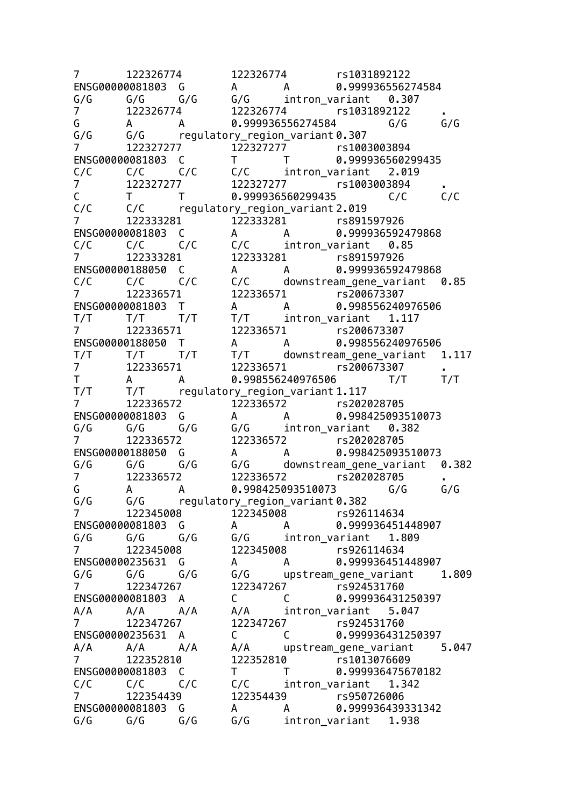7 122326774 122326774 rs1031892122 ENSG00000081803 G A A 0.999936556274584  $G/G$   $G/G$   $G/G$   $G/G$  intron\_variant 0.307 7 122326774 122326774 rs1031892122 . G A A 0.999936556274584 G/G G/G G/G G/G regulatory\_region\_variant 0.307 7 122327277 122327277 rs1003003894 ENSG00000081803 C T T 0.999936560299435 C/C C/C C/C C/C intron\_variant 2.019 7 122327277 122327277 rs1003003894 . C T T 0.999936560299435 C/C C/C C/C C/C regulatory region variant 2.019 7 122333281 122333281 rs891597926 ENSG00000081803 C A A 0.999936592479868 C/C C/C C/C C/C intron\_variant 0.85 7 122333281 122333281 rs891597926 ENSG00000188050 C A A 0.999936592479868 C/C C/C C/C C/C downstream\_gene\_variant 0.85 7 122336571 122336571 rs200673307 ENSG00000081803 T A A 0.998556240976506 T/T T/T T/T T/T intron\_variant 1.117 7 122336571 122336571 rs200673307 ENSG00000188050 T A A 0.998556240976506<br>T/T T/T T/T T/T downstream gene variant T/T T/T T/T T/T downstream\_gene\_variant 1.117 7 122336571 122336571 rs200673307<br>T A A 0.998556240976506 T/T A A 0.998556240976506 T/T T/T T/T T/T regulatory\_region\_variant 1.117 7 122336572 122336572 rs202028705 ENSG00000081803 G A A 0.998425093510073  $G/G$   $G/G$   $G/G$   $G/G$  intron\_variant 0.382 7 122336572 122336572 rs202028705 ENSG00000188050 G A A 0.998425093510073 G/G G/G G/G G/G downstream\_gene\_variant 0.382 7 122336572 122336572 rs202028705 . G A A 0.998425093510073 G/G G/G G/G G/G regulatory\_region\_variant 0.382 7 122345008 122345008 rs926114634 ENSG00000081803 G A A 0.999936451448907 G/G G/G G/G G/G intron\_variant 1.809 7 122345008 122345008 rs926114634 ENSG00000235631 G A A 0.999936451448907 G/G G/G G/G G/G upstream\_gene\_variant 1.809 7 122347267 122347267 rs924531760 ENSG00000081803 A C C 0.999936431250397 A/A A/A A/A A/A intron\_variant 5.047 7 122347267 122347267 rs924531760 ENSG00000235631 A C C 0.999936431250397 A/A A/A A/A A/A upstream\_gene\_variant 5.047<br>7 122352810 122352810 rs1013076609 7 122352810 122352810 rs1013076609 ENSG00000081803 C T T 0.999936475670182 C/C C/C C/C C/C intron\_variant 1.342 7 122354439 122354439 rs950726006 ENSG00000081803 G A A 0.999936439331342 G/G G/G G/G G/G intron\_variant 1.938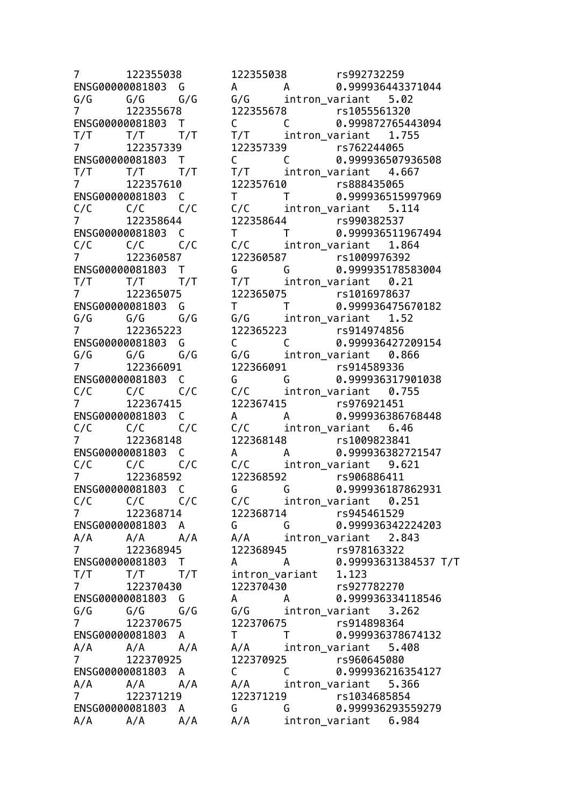7 122355038 122355038 rs992732259 ENSG00000081803 G A A 0.999936443371044 G/G G/G G/G G/G intron\_variant 5.02 7 122355678 122355678 rs1055561320 ENSG00000081803 T C C 0.999872765443094 T/T T/T T/T T/T intron\_variant 1.755 7 122357339 122357339 rs762244065 ENSG00000081803 T C C 0.999936507936508 T/T T/T T/T T/T intron\_variant 4.667 7 122357610 122357610 rs888435065 ENSG00000081803 C T T 0.999936515997969 C/C C/C C/C C/C intron\_variant 5.114 7 122358644 122358644 rs990382537 ENSG00000081803 C T T 0.999936511967494 C/C C/C C/C C/C intron\_variant 1.864 7 122360587 122360587 rs1009976392 ENSG00000081803 T G G 0.999935178583004 T/T T/T T/T T/T intron\_variant 0.21 7 122365075 122365075 rs1016978637 ENSG00000081803 G T T 0.999936475670182 G/G G/G G/G G/G intron\_variant 1.52 7 122365223 122365223 rs914974856 ENSG00000081803 G C C 0.999936427209154  $G/G$   $G/G$   $G/G$   $G/G$   $G$  intron\_variant 0.866 7 122366091 122366091 rs914589336 ENSG00000081803 C G G 0.999936317901038 C/C C/C C/C C/C intron\_variant 0.755<br>7 122367415 122367415 rs976921451 7 122367415 122367415 rs976921451 ENSG00000081803 C A A 0.999936386768448 C/C C/C C/C C/C intron\_variant 6.46 7 122368148 122368148 rs1009823841 ENSG00000081803 C A A 0.999936382721547 C/C C/C C/C C/C intron\_variant 9.621 7 122368592 122368592 rs906886411 ENSG00000081803 C G G 0.999936187862931 C/C C/C C/C C/C intron\_variant 0.251 7 122368714 122368714 rs945461529 ENSG00000081803 A G G 0.999936342224203 A/A A/A A/A A/A intron\_variant 2.843 7 122368945 122368945 rs978163322 ENSG00000081803 T A A 0.99993631384537 T/T T/T T/T T/T intron\_variant 1.123 7 122370430 122370430 rs927782270 ENSG00000081803 G A A 0.999936334118546  $G/G$   $G/G$   $G/G$   $G/G$  intron\_variant 3.262 7 122370675 122370675 rs914898364 ENSG00000081803 A T T 0.999936378674132 A/A A/A A/A A/A intron\_variant 5.408 7 122370925 122370925 rs960645080 ENSG00000081803 A C C 0.999936216354127 A/A A/A A/A A/A intron\_variant 5.366 7 122371219 122371219 rs1034685854 ENSG00000081803 A G G 0.999936293559279 A/A A/A A/A A/A intron\_variant 6.984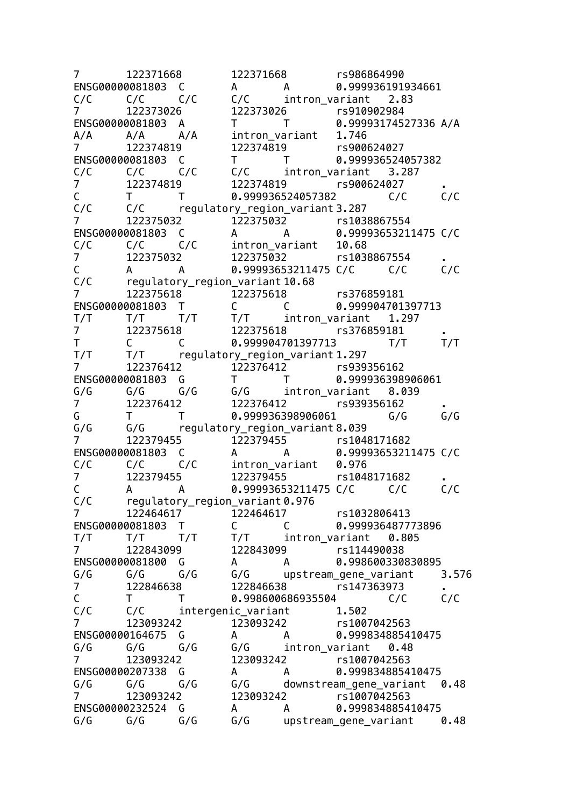7 122371668 122371668 rs986864990 ENSG00000081803 C A A 0.999936191934661 C/C C/C C/C C/C intron\_variant 2.83 7 122373026 122373026 rs910902984 ENSG00000081803 A T T 0.99993174527336 A/A A/A A/A A/A intron\_variant 1.746 7 122374819 122374819 rs900624027 ENSG00000081803 C T T 0.999936524057382 C/C C/C C/C C/C intron\_variant 3.287 7 122374819 122374819 rs900624027 . C T T 0.999936524057382 C/C C/C C/C C/C regulatory region variant 3.287 7 122375032 122375032 rs1038867554 ENSG00000081803 C A A 0.99993653211475 C/C C/C C/C C/C intron\_variant 10.68 7 122375032 122375032 rs1038867554 . C A A 0.99993653211475 C/C C/C C/C C/C regulatory\_region variant 10.68 7 122375618 122375618 rs376859181 ENSG00000081803 T C C 0.999004701397713<br>T/T T/T T/T T/T intron variant 1.297 T/T T/T T/T T/T intron\_variant 1.297 7 122375618 122375618 rs376859181<br>T C C 0.999904701397713 T/T C C 0.999904701397713 T/T T/T T/T T/T regulatory region variant 1.297 7 122376412 122376412 rs939356162 ENSG00000081803 G T T 0.999936398906061 G/G G/G G/G G/G intron\_variant 8.039 7 122376412 122376412 rs939356162 . G T T 0.999936398906061 G/G G/G G/G G/G regulatory\_region\_variant 8.039 7 122379455 122379455 rs1048171682 ENSG00000081803 C A A 0.99993653211475 C/C C/C C/C C/C intron\_variant 0.976 7 122379455 122379455 rs1048171682 . C A A 0.99993653211475 C/C C/C C/C C/C regulatory\_region\_variant 0.976 7 122464617 122464617 rs1032806413 ENSG00000081803 T C C 0.999936487773896 T/T T/T T/T T/T intron\_variant 0.805 7 122843099 122843099 rs114490038 ENSG00000081800 G A A 0.998600330830895 G/G G/G G/G G/G upstream\_gene\_variant 3.576 7 122846638 122846638 rs147363973 . C T T 0.998600686935504 C/C C/C C/C C/C intergenic variant 1.502 7 123093242 123093242 rs1007042563 ENSG00000164675 G A A 0.999834885410475 G/G G/G G/G G/G intron\_variant 0.48 7 123093242 123093242 rs1007042563 ENSG00000207338 G A A 0.999834885410475 G/G G/G G/G G/G downstream\_gene\_variant 0.48 7 123093242 123093242 rs1007042563 ENSG00000232524 G A A 0.999834885410475 G/G G/G G/G G/G upstream\_gene\_variant 0.48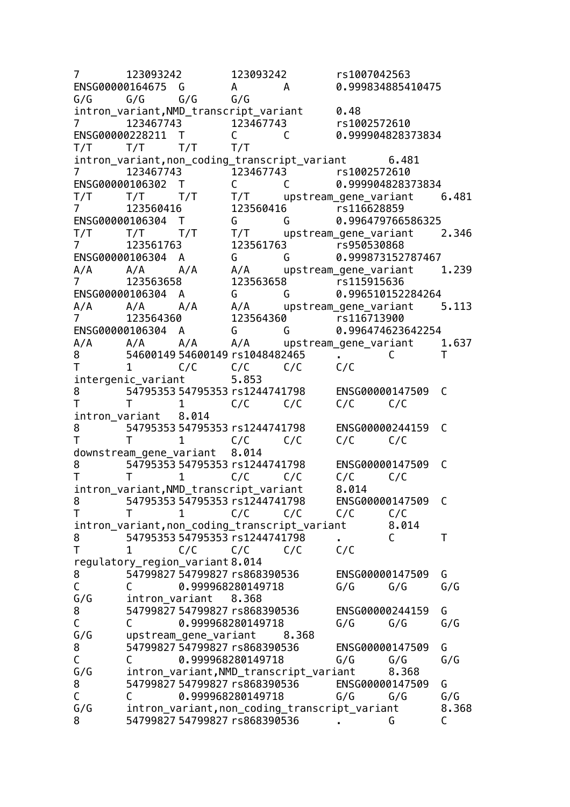7 123093242 123093242 rs1007042563 ENSG00000164675 G A A 0.999834885410475 G/G G/G G/G G/G intron variant, NMD transcript variant 0.48 7 123467743 123467743 rs1002572610 ENSG00000228211 T C C 0.999904828373834 T/T T/T T/T T/T intron\_variant,non\_coding\_transcript\_variant 6.481 7 123467743 123467743 rs1002572610 ENSG00000106302 T C C 0.999904828373834 T/T T/T T/T T/T upstream\_gene\_variant 6.481 7 123560416 123560416 rs116628859 ENSG00000106304 T G G 0.996479766586325 T/T T/T T/T T/T upstream\_gene\_variant 2.346 7 123561763 123561763 rs950530868 ENSG00000106304 A G G 0.999873152787467 A/A A/A A/A A/A upstream\_gene\_variant 1.239<br>7 123563658 123563658 rs115915636 7 123563658 123563658 rs115915636 ENSG00000106304 A G G 0.996510152284264 A/A A/A A/A A/A upstream gene variant 5.113 7 123564360 123564360 rs116713900 ENSG00000106304 A G G 0.996474623642254<br>A/A A/A A/A A/A upstream gene variant A/A A/A A/A A/A upstream gene variant 1.637 8 54600149 54600149 rs1048482465 . C T T 1 C/C C/C C/C C/C intergenic variant 5.853 8 54795353 54795353 rs1244741798 ENSG00000147509 C T T 1 C/C C/C C/C C/C intron\_variant 8.014 8 54795353 54795353 rs1244741798 ENSG00000244159 C T T 1 C/C C/C C/C C/C downstream\_gene\_variant 8.014 8 54795353 54795353 rs1244741798 ENSG00000147509 C T T 1 C/C C/C C/C C/C intron variant,NMD transcript variant 8.014 8 54795353 54795353 rs1244741798 ENSG00000147509 C T T 1 C/C C/C C/C C/C intron\_variant,non\_coding\_transcript\_variant 8.014 8 54795353 54795353 rs1244741798 . C T T 1 C/C C/C C/C C/C regulatory region variant 8.014 8 54799827 54799827 rs868390536 ENSG00000147509 G C C 0.999968280149718 G/G G/G G/G G/G intron variant 8.368 8 54799827 54799827 rs868390536 ENSG00000244159 G C C 0.999968280149718 G/G G/G G/G G/G upstream gene variant 8.368 8 54799827 54799827 rs868390536 ENSG00000147509 G C C 0.999968280149718 G/G G/G G/G<br>G/G intron\_variant.NMD\_transcript\_variant 8.368 intron variant, NMD transcript variant 8.368 8 54799827 54799827 rs868390536 ENSG00000147509 G C C 0.999968280149718 G/G G/G G/G G/G intron variant, non coding transcript variant 8.368 8 54799827 54799827 rs868390536 . G C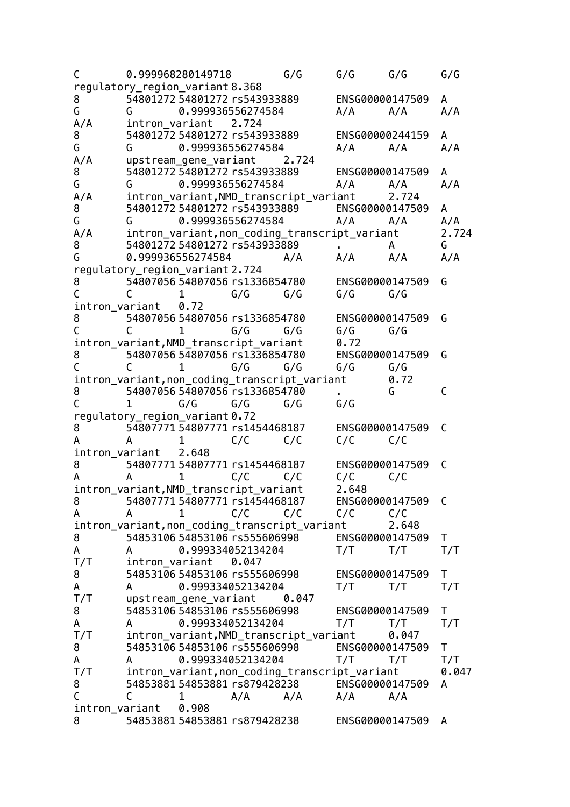| C                   |                      | 0.999968280149718                             |                   | G/G   | G/G             | G/G   | G/G   |
|---------------------|----------------------|-----------------------------------------------|-------------------|-------|-----------------|-------|-------|
|                     |                      | regulatory_region_variant 8.368               |                   |       |                 |       |       |
| 8                   |                      | 54801272 54801272 rs543933889                 |                   |       | ENSG00000147509 |       | A     |
| G                   | G                    |                                               | 0.999936556274584 |       | A/A             | A/A   | A/A   |
| A/A                 |                      | intron_variant 2.724                          |                   |       |                 |       |       |
| 8                   |                      | 54801272 54801272 rs543933889                 |                   |       | ENSG00000244159 |       | A     |
| G                   | G                    |                                               | 0.999936556274584 |       | A/A             | A/A   | A/A   |
| A/A                 |                      | upstream_gene_variant                         |                   | 2.724 |                 |       |       |
| 8                   |                      | 54801272 54801272 rs543933889                 |                   |       | ENSG00000147509 |       | A     |
| G                   | G                    |                                               | 0.999936556274584 |       | A/A             | A/A   | A/A   |
| A/A                 |                      | intron_variant,NMD_transcript_variant         |                   |       |                 | 2.724 |       |
| 8                   |                      | 54801272 54801272 rs543933889                 |                   |       | ENSG00000147509 |       | A     |
| G                   | G                    |                                               | 0.999936556274584 |       | A/A             | A/A   | A/A   |
| A/A                 |                      | intron_variant, non_coding_transcript_variant |                   |       |                 |       | 2.724 |
| 8                   |                      | 54801272 54801272 rs543933889                 |                   |       |                 | A     | G     |
| G                   |                      | 0.999936556274584                             |                   | A/A   | A/A             | A/A   | A/A   |
|                     |                      | regulatory_region_variant 2.724               |                   |       |                 |       |       |
| 8                   |                      | 54807056 54807056 rs1336854780                |                   |       | ENSG00000147509 |       | G     |
|                     | C                    | 1                                             | G/G               | G/G   | G/G             | G/G   |       |
| intron_variant      |                      | 0.72                                          |                   |       |                 |       |       |
| 8                   |                      | 54807056 54807056 rs1336854780                |                   |       | ENSG00000147509 |       | G     |
| С                   | C                    | 1                                             | G/G               | G/G   | G/G             | G/G   |       |
|                     |                      | intron_variant,NMD_transcript_variant         |                   |       | 0.72            |       |       |
| 8                   |                      | 54807056 54807056 rs1336854780                |                   |       | ENSG00000147509 |       | G     |
|                     | $\mathsf{C}$         | $\mathbf{1}$                                  | G/G               | G/G   | G/G             | G/G   |       |
|                     |                      | intron_variant, non_coding_transcript_variant |                   |       |                 | 0.72  |       |
| 8                   |                      | 54807056 54807056 rs1336854780                |                   |       |                 | G     | C     |
| C                   | 1                    | G/G                                           | G/G               | G/G   | G/G             |       |       |
|                     |                      | regulatory_region_variant0.72                 |                   |       |                 |       |       |
| 8                   |                      | 54807771 54807771 rs1454468187                |                   |       | ENSG00000147509 |       | C     |
| A                   | A                    | 1                                             | C/C               | C/C   | C/C             | C/C   |       |
|                     | intron_variant 2.648 |                                               |                   |       |                 |       |       |
| 8                   |                      | 54807771 54807771 rs1454468187                |                   |       | ENSG00000147509 |       | C     |
| A                   | A                    | 1                                             | C/C               | C/C   | C/C             | C/C   |       |
|                     |                      | intron_variant,NMD_transcript_variant         |                   |       | 2.648           |       |       |
| 8                   |                      | 54807771 54807771 rs1454468187                |                   |       | ENSG00000147509 |       | C     |
| A                   | A                    | 1                                             | C/C               | C/C   | C/C             | C/C   |       |
|                     |                      | intron_variant, non_coding_transcript_variant |                   |       |                 | 2.648 |       |
| 8                   |                      | 54853106 54853106 rs555606998                 |                   |       | ENSG00000147509 |       | T     |
| A                   | $A \qquad \qquad$    |                                               | 0.999334052134204 |       | T/T             | T/T   | T/T   |
| T/T                 |                      | intron_variant                                | 0.047             |       |                 |       |       |
| 8                   |                      | 54853106 54853106 rs555606998                 |                   |       | ENSG00000147509 |       | Τ     |
| A                   | A                    |                                               | 0.999334052134204 |       | T/T             | T/T   | T/T   |
| T/T                 |                      | upstream_gene_variant                         |                   | 0.047 |                 |       |       |
| 8                   |                      | 54853106 54853106 rs555606998                 |                   |       | ENSG00000147509 |       | Τ     |
| A                   | A                    |                                               | 0.999334052134204 |       | T/T             | T/T   | T/T   |
| T/T                 |                      | intron_variant,NMD_transcript_variant         |                   |       |                 | 0.047 |       |
| 8                   |                      | 54853106 54853106 rs555606998                 |                   |       | ENSG00000147509 |       | T.    |
| A                   | A                    |                                               | 0.999334052134204 |       | T/T             | T/T   | T/T   |
| T/T                 |                      | intron_variant, non_coding_transcript_variant |                   |       |                 |       | 0.047 |
| 8                   |                      | 54853881 54853881 rs879428238                 |                   |       | ENSG00000147509 |       | A     |
| C                   | C                    | 1                                             | A/A               | A/A   | A/A             | A/A   |       |
|                     |                      | 0.908                                         |                   |       |                 |       |       |
| intron_variant<br>8 |                      | 54853881 54853881 rs879428238                 |                   |       |                 |       |       |
|                     |                      |                                               |                   |       | ENSG00000147509 |       | A     |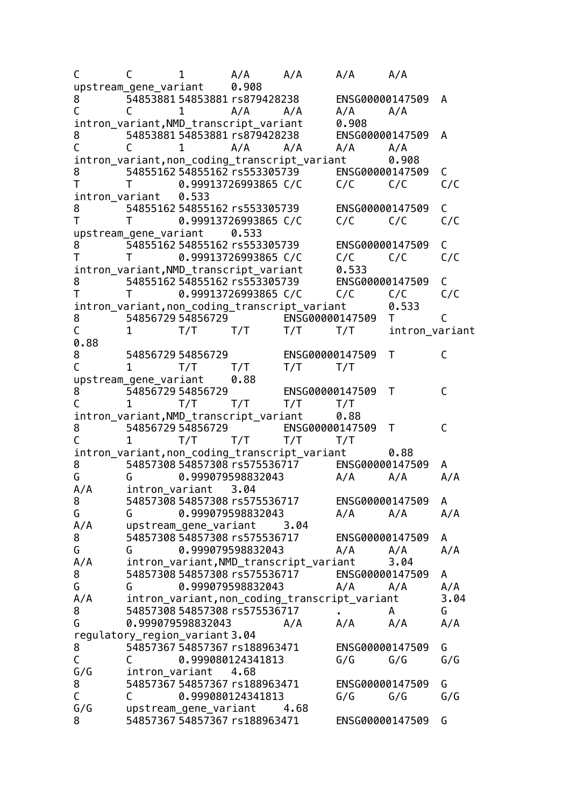C C 1 A/A A/A A/A A/A upstream\_gene\_variant 0.908 8 54853881 54853881 rs879428238 ENSG00000147509 A C C 1 A/A A/A A/A A/A intron variant,NMD transcript variant 0.908 8 54853881 54853881 rs879428238 ENSG00000147509 A C C 1 A/A A/A A/A A/A intron\_variant, non\_coding\_transcript\_variant 0.908 8 54855162 54855162 rs553305739 ENSG00000147509 C T T 0.99913726993865 C/C C/C C/C C/C intron\_variant 0.533 8 54855162 54855162 rs553305739 ENSG00000147509 C T T 0.99913726993865 C/C C/C C/C C/C upstream\_gene\_variant 0.533 8 54855162 54855162 rs553305739 ENSG00000147509 C T T 0.99913726993865 C/C C/C C/C C/C intron variant,NMD transcript variant 0.533 8 54855162 54855162 rs553305739 ENSG00000147509 C T T 0.99913726993865 C/C C/C C/C C/C intron\_variant,non\_coding\_transcript\_variant 0.533 8 54856729 54856729 ENSG00000147509 T C T/T T/T T/T T/T intron\_variant 0.88 8 54856729 54856729 ENSG00000147509 T C C 1 T/T T/T T/T T/T upstream gene variant 0.88 8 54856729 54856729 ENSG00000147509 T C C 1 T/T T/T T/T T/T intron variant, NMD transcript variant 0.88 8 54856729 54856729 ENSG00000147509 T C C 1 T/T T/T T/T T/T intron\_variant,non\_coding\_transcript\_variant 0.88 8 54857308 54857308 rs575536717 ENSG00000147509 A G G 0.999079598832043 A/A A/A A/A A/A intron variant 3.04 8 54857308 54857308 rs575536717 ENSG00000147509 A G G 0.999079598832043 A/A A/A A/A A/A upstream\_gene\_variant 3.04 8 54857308 54857308 rs575536717 ENSG00000147509 A G G 0.999079598832043 A/A A/A A/A A/A intron variant, NMD transcript variant 3.04 8 54857308 54857308 rs575536717 ENSG00000147509 A G G 0.999079598832043 A/A A/A A/A A/A intron variant, non coding transcript variant 3.04 8 54857308 54857308 rs575536717 . A G G 0.999079598832043 A/A A/A A/A A/A regulatory region variant 3.04 8 54857367 54857367 rs188963471 ENSG00000147509 G C C 0.999080124341813 G/G G/G<br>G/G intron\_variant 4.68 intron variant 4.68 8 54857367 54857367 rs188963471 ENSG00000147509 G C C 0.999080124341813 G/G G/G G/G G/G upstream gene variant 4.68 8 54857367 54857367 rs188963471 ENSG00000147509 G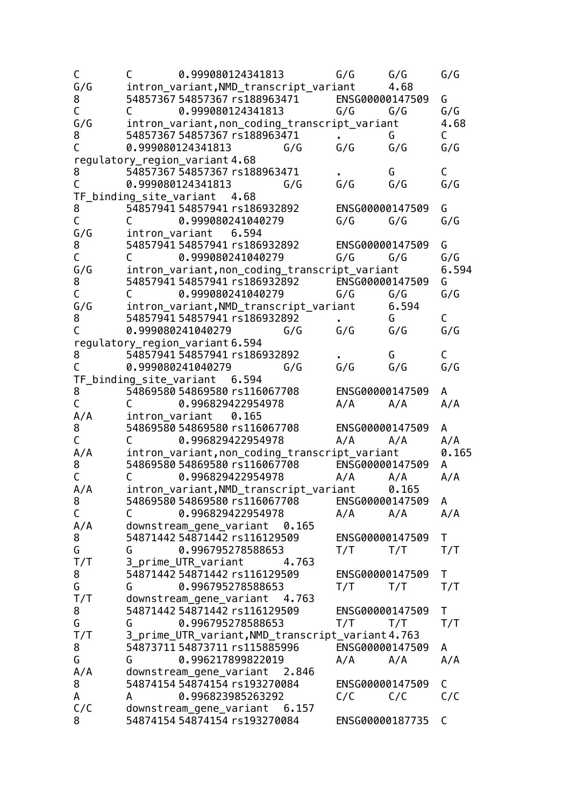| C            | C                               | 0.999080124341813                                              |       | G/G             | G/G        | G/G          |
|--------------|---------------------------------|----------------------------------------------------------------|-------|-----------------|------------|--------------|
| G/G          |                                 | intron_variant,NMD_transcript_variant                          |       |                 | 4.68       |              |
| 8            |                                 | 54857367 54857367 rs188963471                                  |       | ENSG00000147509 |            | G            |
| С            | C                               | 0.999080124341813                                              |       | G/G             | G/G        | G/G          |
| G/G          |                                 | intron_variant, non_coding_transcript_variant                  |       |                 |            | 4.68         |
| 8            |                                 | 54857367 54857367 rs188963471                                  |       |                 | G          | C            |
| C            |                                 | 0.999080124341813                                              | G/G   | G/G             | G/G        | G/G          |
|              |                                 | regulatory_region_variant 4.68                                 |       |                 |            |              |
| 8            |                                 | 54857367 54857367 rs188963471                                  |       |                 | G          | C            |
| $\mathsf{C}$ |                                 | 0.999080124341813                                              | G/G   | G/G             | G/G        | G/G          |
|              |                                 | TF_binding_site_variant 4.68                                   |       |                 |            |              |
| 8            |                                 | 54857941 54857941 rs186932892                                  |       | ENSG00000147509 |            | G            |
| $\mathsf C$  | $\mathcal{C}$ and $\mathcal{C}$ | 0.999080241040279                                              |       | G/G             | G/G        | G/G          |
| G/G          |                                 | intron_variant 6.594                                           |       |                 |            |              |
| 8            |                                 | 54857941 54857941 rs186932892                                  |       | ENSG00000147509 |            | G            |
| C            | C                               | 0.999080241040279                                              |       | G/G             | G/G        | G/G          |
| G/G          |                                 | intron_variant, non_coding_transcript_variant                  |       |                 |            | 6.594        |
| 8            |                                 | 54857941 54857941 rs186932892                                  |       | ENSG00000147509 |            | G            |
| С            | C                               | 0.999080241040279                                              |       | G/G             | G/G        | G/G          |
| G/G          |                                 | intron_variant, NMD_transcript_variant                         |       |                 | 6.594      |              |
| 8            |                                 | 54857941 54857941 rs186932892                                  |       | $\mathbf{r}$    | G.         | $\mathsf{C}$ |
| $\mathsf{C}$ |                                 | 0.999080241040279                                              | G/G   | G/G             | G/G        | G/G          |
|              |                                 | regulatory_region_variant 6.594                                |       |                 |            |              |
| 8            |                                 | 54857941 54857941 rs186932892                                  |       |                 | G          | C            |
| C            |                                 | 0.999080241040279                                              | G/G   | G/G             | G/G        | G/G          |
|              |                                 | TF_binding_site_variant 6.594                                  |       |                 |            |              |
| 8            |                                 | 54869580 54869580 rs116067708                                  |       | ENSG00000147509 |            | A            |
| С            | C                               | 0.996829422954978                                              |       | A/A             | A/A        | A/A          |
| A/A          |                                 | intron_variant 0.165                                           |       |                 |            |              |
| 8            |                                 | 54869580 54869580 rs116067708                                  |       | ENSG00000147509 |            | A            |
| $\mathsf C$  | $\mathsf{C}$                    | 0.996829422954978                                              |       | A/A             | A/A<br>A/A |              |
| A/A          |                                 | intron_variant, non_coding_transcript_variant                  |       |                 |            | 0.165        |
| 8            |                                 | 54869580 54869580 rs116067708 ENSG00000147509                  |       |                 |            | A            |
| $\mathsf{C}$ | C                               | 0.996829422954978                                              |       | A/A             | A/A        | A/A          |
| A/A          |                                 | intron_variant,NMD_transcript_variant                          |       |                 | 0.165      |              |
| 8            |                                 | 54869580 54869580 rs116067708                                  |       | ENSG00000147509 |            | A            |
| С            | C                               | 0.996829422954978                                              |       | A/A             | A/A        | A/A          |
| A/A          |                                 | downstream_gene_variant 0.165                                  |       |                 |            |              |
| 8            |                                 | 54871442 54871442 rs116129509                                  |       | ENSG00000147509 |            | T            |
| G            | G                               | 0.996795278588653                                              |       | T/T             | T/T        | T/T          |
| T/T          |                                 | 3_prime_UTR_variant                                            | 4.763 |                 |            |              |
| 8            |                                 | 54871442 54871442 rs116129509                                  |       | ENSG00000147509 |            | Τ            |
| G            | G                               | 0.996795278588653                                              |       | T/T             | T/T        | T/T          |
| T/T          |                                 |                                                                |       |                 |            |              |
| 8            |                                 | downstream_gene_variant 4.763<br>54871442 54871442 rs116129509 |       | ENSG00000147509 |            | T            |
| G            | G                               | 0.996795278588653                                              |       | T/T             | T/T        | T/T          |
| T/T          |                                 | 3_prime_UTR_variant,NMD_transcript_variant4.763                |       |                 |            |              |
|              |                                 | 54873711 54873711 rs115885996                                  |       | ENSG00000147509 |            | A            |
| 8            |                                 |                                                                |       |                 |            |              |
| G            | G                               | 0.996217899822019                                              |       | A/A             | A/A        | A/A          |
| A/A<br>8     |                                 | downstream_gene_variant 2.846<br>54874154 54874154 rs193270084 |       |                 |            |              |
|              |                                 |                                                                |       | ENSG00000147509 |            | C<br>C/C     |
| A            | A                               | 0.996823985263292                                              |       | C/C             | C/C        |              |
| C/C<br>8     |                                 | downstream_gene_variant 6.157<br>54874154 54874154 rs193270084 |       |                 |            | C            |
|              |                                 |                                                                |       | ENSG00000187735 |            |              |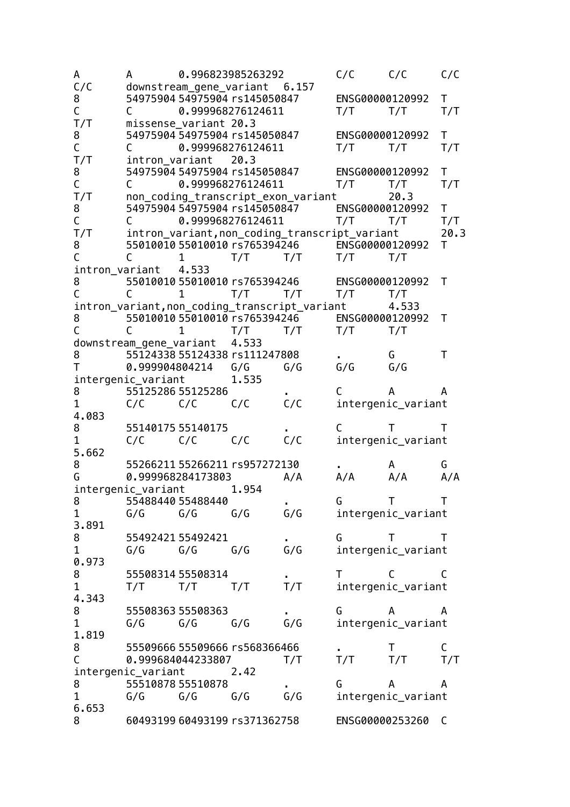A A 0.996823985263292 C/C C/C C/C C/C downstream\_gene\_variant 6.157 8 54975904 54975904 rs145050847 ENSG00000120992 T C C 0.999968276124611 T/T T/T T/T missense variant 20.3 8 54975904 54975904 rs145050847 ENSG00000120992 T C C 0.999968276124611 T/T T/T T/T T/T intron\_variant 20.3 8 54975904 54975904 rs145050847 ENSG00000120992 T C C 0.999968276124611 T/T T/T T/T T/T non coding transcript exon variant 20.3 8 54975904 54975904 rs145050847 ENSG00000120992 T C C 0.999968276124611 T/T T/T T/T T/T intron variant,non coding transcript variant 20.3 8 55010010 55010010 rs765394246 ENSG00000120992 T C C 1 T/T T/T T/T T/T intron\_variant 4.533 8 55010010 55010010 rs765394246 ENSG00000120992 T C C 1 T/T T/T T/T T/T intron variant, non coding transcript variant 4.533 8 55010010 55010010 rs765394246 ENSG00000120992 T C C 1 T/T T/T T/T T/T downstream gene variant 4.533 8 55124338 55124338 rs111247808 . G T T 0.999904804214 G/G G/G G/G G/G intergenic variant 1.535 8 55125286 55125286 . C A A 1 C/C C/C C/C C/C intergenic variant 4.083 8 55140175 55140175 . C T T 1 C/C C/C C/C C/C intergenic variant 5.662 8 55266211 55266211 rs957272130 . A G G 0.999968284173803 A/A A/A A/A A/A intergenic\_variant 1.954 8 55488440 55488440 . G T T 1 G/G G/G G/G G/G intergenic\_variant 3.891 8 55492421 55492421 . G T T 1 G/G G/G G/G G/G intergenic\_variant 0.973 8 55508314 55508314 . T C C C<br>1 T/T T/T T/T T/T T/T intergenic variant 1 T/T T/T T/T T/T intergenic variant 4.343 8 55508363 55508363 . G A A 1 G/G G/G G/G G/G intergenic variant 1.819 8 55509666 55509666 rs568366466 . T C C 0.999684044233807 T/T T/T T/T T/T intergenic\_variant 2.42 8 55510878 55510878 . G A A 1 G/G G/G G/G G/G intergenic\_variant 6.653 8 60493199 60493199 rs371362758 ENSG00000253260 C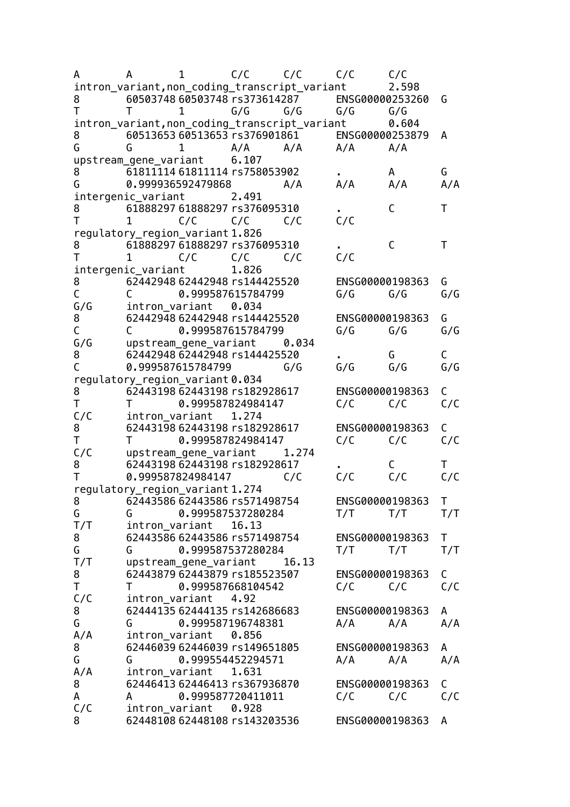| A      | A                                             | 1                             | C/C               | C/C   | C/C             | C/C   |             |
|--------|-----------------------------------------------|-------------------------------|-------------------|-------|-----------------|-------|-------------|
|        | intron_variant,non_coding_transcript_variant  |                               |                   |       |                 | 2.598 |             |
| 8      |                                               | 60503748 60503748 rs373614287 |                   |       | ENSG00000253260 |       | G           |
| T      | Τ                                             | $\mathbf{1}$                  | G/G               | G/G   | G/G             | G/G   |             |
|        | intron_variant, non_coding_transcript_variant |                               |                   |       |                 | 0.604 |             |
| 8      | 60513653 60513653 rs376901861                 |                               |                   |       | ENSG00000253879 |       | A           |
| G      | G                                             | $\mathbf{1}$                  | A/A               | A/A   | A/A             | A/A   |             |
|        | upstream_gene_variant 6.107                   |                               |                   |       |                 |       |             |
| 8      |                                               | 61811114 61811114 rs758053902 |                   |       |                 | A     | G           |
| G      |                                               | 0.999936592479868             |                   | A/A   | A/A             | A/A   | A/A         |
|        | intergenic_variant 2.491                      |                               |                   |       |                 |       |             |
| 8      | 61888297 61888297 rs376095310                 |                               |                   |       |                 | C     | T           |
| T      | 1                                             | C/C                           | C/C               | C/C   | C/C             |       |             |
|        | regulatory_region_variant 1.826               |                               |                   |       |                 |       |             |
| 8      |                                               | 61888297 61888297 rs376095310 |                   |       |                 | C     | Τ           |
|        | $\mathbf{1}$                                  | C/C                           | C/C               | C/C   | C/C             |       |             |
|        | intergenic_variant                            |                               | 1.826             |       |                 |       |             |
| 8      |                                               | 62442948 62442948 rs144425520 |                   |       | ENSG00000198363 |       | G           |
| C      | C                                             |                               | 0.999587615784799 |       | G/G             | G/G   | G/G         |
| G/G    | intron_variant                                |                               | 0.034             |       |                 |       |             |
| 8      |                                               | 62442948 62442948 rs144425520 |                   |       | ENSG00000198363 |       | G           |
| C      | C.                                            |                               | 0.999587615784799 |       | G/G             | G/G   | G/G         |
| G/G    | upstream_gene_variant                         |                               |                   | 0.034 |                 |       |             |
| 8      |                                               | 62442948 62442948 rs144425520 |                   |       |                 | G     | C           |
| C      |                                               | 0.999587615784799             |                   | G/G   | G/G             | G/G   | G/G         |
|        | regulatory_region_variant 0.034               |                               |                   |       |                 |       |             |
| 8      |                                               | 62443198 62443198 rs182928617 |                   |       | ENSG00000198363 |       | C           |
| Τ      |                                               |                               | 0.999587824984147 |       | C/C             | C/C   | C/C         |
| C/C    | intron_variant                                |                               | 1.274             |       |                 |       |             |
| 8      |                                               | 62443198 62443198 rs182928617 |                   |       | ENSG00000198363 |       | C           |
| Τ      | Τ                                             |                               | 0.999587824984147 |       | C/C             | C/C   | C/C         |
| C/C    |                                               | upstream_gene_variant         |                   | 1.274 |                 |       |             |
| 8      |                                               | 62443198 62443198 rs182928617 |                   |       |                 | C     | т           |
| Τ      |                                               | 0.999587824984147             |                   | C/C   | C/C             | C/C   | C/C         |
|        |                                               |                               |                   |       |                 |       |             |
|        | regulatory_region_variant 1.274               | 62443586 62443586 rs571498754 |                   |       | ENSG00000198363 |       | $\mathsf T$ |
| 8<br>G | G                                             |                               | 0.999587537280284 |       | T/T             | T/T   |             |
|        |                                               |                               |                   |       |                 |       | T/T         |
| T/T    | intron_variant                                | 62443586 62443586 rs571498754 | 16.13             |       | ENSG00000198363 |       |             |
| 8      |                                               |                               |                   |       |                 |       | Τ           |
| G      | G                                             |                               | 0.999587537280284 |       | T/T             | T/T   | T/T         |
| T/T    |                                               | upstream_gene_variant         |                   | 16.13 |                 |       |             |
| 8      |                                               | 62443879 62443879 rs185523507 |                   |       | ENSG00000198363 |       | C           |
| Τ      | т                                             |                               | 0.999587668104542 |       | C/C             | C/C   | C/C         |
| C/C    | intron_variant                                |                               | 4.92              |       |                 |       |             |
| 8      |                                               | 62444135 62444135 rs142686683 |                   |       | ENSG00000198363 |       | A           |
| G      | G                                             |                               | 0.999587196748381 |       | A/A             | A/A   | A/A         |
| A/A    | intron_variant                                |                               | 0.856             |       |                 |       |             |
| 8      |                                               | 62446039 62446039 rs149651805 |                   |       | ENSG00000198363 |       | A           |
| G      | G                                             |                               | 0.999554452294571 |       | A/A             | A/A   | A/A         |
| A/A    |                                               | intron_variant                | 1.631             |       |                 |       |             |
| 8      |                                               | 62446413 62446413 rs367936870 |                   |       | ENSG00000198363 |       | C           |
| A      | A                                             |                               | 0.999587720411011 |       | C/C             | C/C   | C/C         |
| C/C    | intron_variant                                |                               | 0.928             |       |                 |       |             |
| 8      |                                               | 62448108 62448108 rs143203536 |                   |       | ENSG00000198363 |       | A           |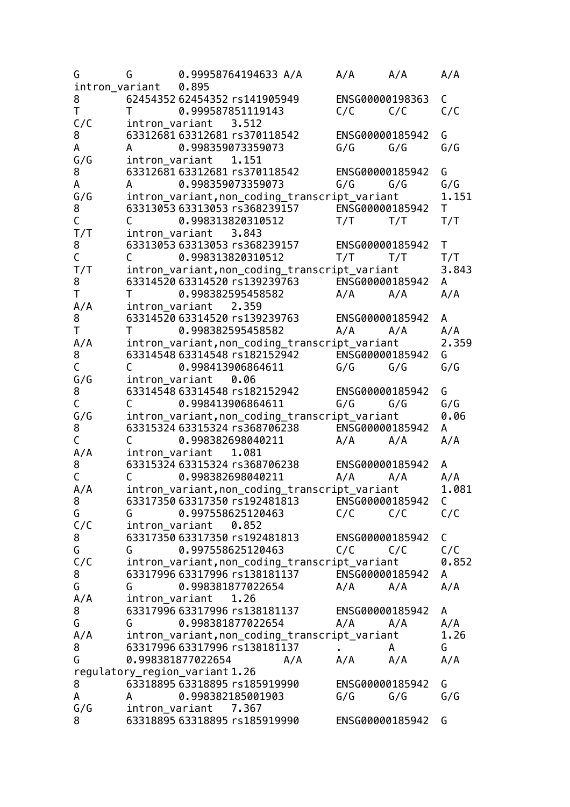| G            | G                                                                                                                                                                                                                             | 0.99958764194633 A/A                                | A/A             | A/A             | A/A          |
|--------------|-------------------------------------------------------------------------------------------------------------------------------------------------------------------------------------------------------------------------------|-----------------------------------------------------|-----------------|-----------------|--------------|
|              | intron_variant                                                                                                                                                                                                                | 0.895                                               |                 |                 |              |
| 8            |                                                                                                                                                                                                                               | 62454352 62454352 rs141905949                       | ENSG00000198363 |                 | C            |
| T            | $\mathsf{T}$                                                                                                                                                                                                                  | 0.999587851119143                                   | $C/C$ $C/C$     |                 | C/C          |
| C/C          |                                                                                                                                                                                                                               | intron_variant 3.512                                |                 |                 |              |
| 8            |                                                                                                                                                                                                                               | 63312681 63312681 rs370118542                       | ENSG00000185942 |                 | G            |
| A            | $\overline{A}$                                                                                                                                                                                                                | 0.998359073359073                                   | $G/G$ $G/G$     |                 | G/G          |
| G/G          |                                                                                                                                                                                                                               | intron_variant<br>1.151                             |                 |                 |              |
| 8            |                                                                                                                                                                                                                               | 63312681 63312681 rs370118542 ENSG00000185942       |                 |                 | G            |
| Α            | $\mathsf{A}$                                                                                                                                                                                                                  | 0.998359073359073                                   | G/G             | G/G             | G/G          |
| G/G          |                                                                                                                                                                                                                               | intron_variant, non_coding_transcript_variant 1.151 |                 |                 |              |
| 8            |                                                                                                                                                                                                                               | 63313053 63313053 rs368239157                       | ENSG00000185942 |                 | T.           |
| $\mathsf C$  | C.                                                                                                                                                                                                                            | 0.998313820310512                                   | T/T             | T/T             | T/T          |
| T/T          |                                                                                                                                                                                                                               | intron_variant 3.843                                |                 |                 |              |
| 8            |                                                                                                                                                                                                                               | 63313053 63313053 rs368239157                       | ENSG00000185942 |                 | $\mathsf{T}$ |
| $\mathsf C$  | $\mathsf{C}$ and $\mathsf{C}$                                                                                                                                                                                                 | 0.998313820310512                                   | T/T             | T/T             | T/T          |
| T/T          |                                                                                                                                                                                                                               | intron_variant,non_coding_transcript_variant        |                 |                 | 3.843        |
| 8            |                                                                                                                                                                                                                               | 63314520 63314520 rs139239763 ENSG00000185942       |                 |                 | A            |
| T            | T                                                                                                                                                                                                                             | 0.998382595458582                                   | A/A             | A/A             | A/A          |
| A/A          |                                                                                                                                                                                                                               | intron_variant<br>2.359                             |                 |                 |              |
| 8            |                                                                                                                                                                                                                               | 63314520 63314520 rs139239763                       | ENSG00000185942 |                 | A            |
| T            | $\mathsf{T}$                                                                                                                                                                                                                  | 0.998382595458582                                   | A/A             | A/A             | A/A          |
| A/A          |                                                                                                                                                                                                                               | intron_variant,non_coding_transcript_variant        |                 |                 | 2.359        |
| 8            |                                                                                                                                                                                                                               | 63314548 63314548 rs182152942 ENSG00000185942       |                 |                 | G            |
| $\mathsf C$  | $\mathsf{C}$ and $\mathsf{C}$                                                                                                                                                                                                 | 0.998413906864611                                   | G/G             | G/G             | G/G          |
| G/G          |                                                                                                                                                                                                                               | intron_variant<br>0.06                              |                 |                 |              |
| 8            |                                                                                                                                                                                                                               | 63314548 63314548 rs182152942                       | ENSG00000185942 |                 | G            |
| $\mathsf C$  | C                                                                                                                                                                                                                             | 0.998413906864611                                   | G/G             | G/G             | G/G          |
| G/G          |                                                                                                                                                                                                                               | intron_variant, non_coding_transcript_variant       |                 |                 | 0.06         |
| 8            |                                                                                                                                                                                                                               | 63315324 63315324 rs368706238                       | ENSG00000185942 |                 | A            |
| C            | $\mathsf{C}$ and $\mathsf{C}$                                                                                                                                                                                                 | 0.998382698040211                                   | $A/A$ $A/A$     |                 | A/A          |
| A/A          |                                                                                                                                                                                                                               | intron_variant 1.081                                |                 |                 |              |
| 8            |                                                                                                                                                                                                                               | 63315324 63315324 rs368706238 ENSG00000185942       |                 |                 | A            |
| $\mathsf{C}$ | $\mathsf{C}$                                                                                                                                                                                                                  | 0.998382698040211                                   | A/A             | $A/A$ $A/A$     |              |
| A/A          |                                                                                                                                                                                                                               | intron_variant, non_coding_transcript_variant       |                 |                 | 1.081        |
| 8            |                                                                                                                                                                                                                               | 63317350 63317350 rs192481813                       | ENSG00000185942 |                 | C            |
| G            | G                                                                                                                                                                                                                             | 0.997558625120463                                   | C/C             | C/C             | C/C          |
| C/C          |                                                                                                                                                                                                                               | intron_variant<br>0.852                             |                 |                 |              |
| 8            |                                                                                                                                                                                                                               | 63317350 63317350 rs192481813                       | ENSG00000185942 |                 | C            |
| G            | $G$ and $G$ and $G$ and $G$ and $G$ and $G$ and $G$ and $G$ and $G$ and $G$ and $G$ and $G$ and $G$ and $G$ and $G$ and $G$ and $G$ and $G$ and $G$ and $G$ and $G$ and $G$ and $G$ and $G$ and $G$ and $G$ and $G$ and $G$ a | 0.997558625120463                                   | C/C             | C/C             | C/C          |
| C/C          |                                                                                                                                                                                                                               | intron_variant, non_coding_transcript_variant       |                 |                 | 0.852        |
| 8            |                                                                                                                                                                                                                               | 63317996 63317996 rs138181137                       | ENSG00000185942 |                 | A            |
| G            | G                                                                                                                                                                                                                             | 0.998381877022654                                   | A/A             | A/A             | A/A          |
| A/A          | intron_variant                                                                                                                                                                                                                | 1.26                                                |                 |                 |              |
| 8            |                                                                                                                                                                                                                               | 63317996 63317996 rs138181137                       | ENSG00000185942 |                 | A            |
| G            | G                                                                                                                                                                                                                             | 0.998381877022654                                   | A/A             | A/A             | A/A          |
| A/A          |                                                                                                                                                                                                                               | intron_variant, non_coding_transcript_variant       |                 |                 | 1.26         |
| 8            |                                                                                                                                                                                                                               | 63317996 63317996 rs138181137                       | $\mathbf{r}$    | A               | G            |
| G            |                                                                                                                                                                                                                               | 0.998381877022654<br>A/A                            | A/A             | A/A             | A/A          |
|              |                                                                                                                                                                                                                               | regulatory_region_variant 1.26                      |                 |                 |              |
| 8            |                                                                                                                                                                                                                               | 63318895 63318895 rs185919990                       | ENSG00000185942 |                 | G            |
| A            | A                                                                                                                                                                                                                             | 0.998382185001903                                   | G/G             | G/G             | G/G          |
| G/G          | intron_variant                                                                                                                                                                                                                | 7.367                                               |                 |                 |              |
| 8            |                                                                                                                                                                                                                               | 63318895 63318895 rs185919990                       |                 | ENSG00000185942 | G            |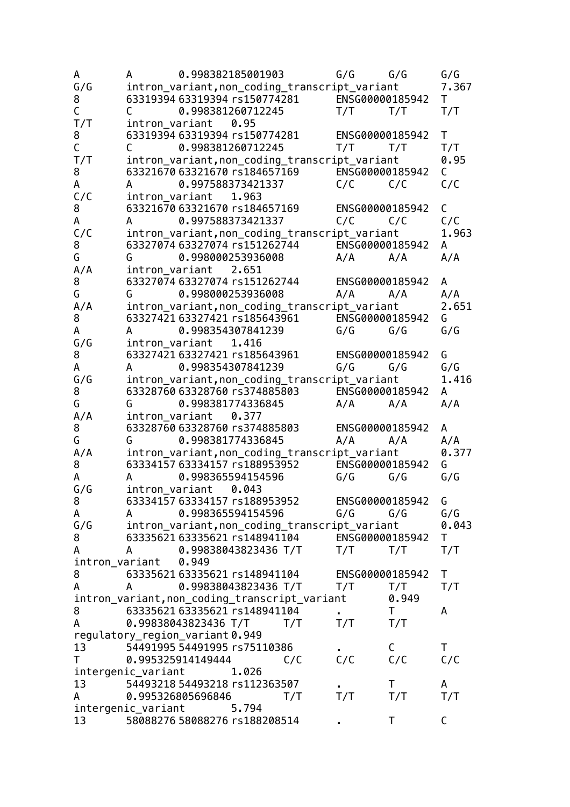| A           | 0.998382185001903<br>A                                                                                                                                                                                                                             | G/G             | G/G                 | G/G          |
|-------------|----------------------------------------------------------------------------------------------------------------------------------------------------------------------------------------------------------------------------------------------------|-----------------|---------------------|--------------|
| G/G         | intron_variant,non_coding_transcript_variant                                                                                                                                                                                                       |                 |                     | 7.367        |
| 8           | 63319394 63319394 rs150774281 ENSG00000185942                                                                                                                                                                                                      |                 |                     | $\mathsf{T}$ |
| $\mathsf C$ | 0.998381260712245<br>$\mathsf{C}$                                                                                                                                                                                                                  | $T/T$ $T/T$     |                     | T/T          |
| T/T         | intron_variant 0.95                                                                                                                                                                                                                                |                 |                     |              |
| 8           | 63319394 63319394 rs150774281 ENSG00000185942                                                                                                                                                                                                      |                 |                     | $\mathsf{T}$ |
| $\mathsf C$ | $\mathsf{C}$<br>0.998381260712245                                                                                                                                                                                                                  | $T/T$ $T/T$     |                     | T/T          |
| T/T         | intron_variant,non_coding_transcript_variant                                                                                                                                                                                                       |                 |                     | 0.95         |
| 8           | 63321670 63321670 rs184657169 ENSG00000185942                                                                                                                                                                                                      |                 |                     | C.           |
| A           | 0.997588373421337<br>A                                                                                                                                                                                                                             | C/C             | C/C                 | C/C          |
| C/C         | intron_variant 1.963                                                                                                                                                                                                                               |                 |                     |              |
| 8           | 63321670 63321670 rs184657169 ENSG00000185942                                                                                                                                                                                                      |                 |                     | C            |
| A           | 0.997588373421337<br>$\overline{A}$                                                                                                                                                                                                                | C/C             | C/C                 | C/C          |
| C/C         | intron_variant,non_coding_transcript_variant                                                                                                                                                                                                       |                 |                     | 1.963        |
| 8           | 63327074 63327074 rs151262744 ENSG00000185942                                                                                                                                                                                                      |                 |                     | A            |
| G           | $G$ and $G$ and $G$ and $G$ and $G$ and $G$ and $G$ and $G$ and $G$ and $G$ and $G$ and $G$ and $G$ and $G$ and $G$ and $G$ and $G$ and $G$ and $G$ and $G$ and $G$ and $G$ and $G$ and $G$ and $G$ and $G$ and $G$ and $G$ a<br>0.998000253936008 | $A/A$ $A/A$     |                     | A/A          |
| A/A         | intron_variant 2.651                                                                                                                                                                                                                               |                 |                     |              |
| 8           | 63327074 63327074 rs151262744                                                                                                                                                                                                                      | ENSG00000185942 |                     | A            |
| G           | 0.998000253936008<br>G                                                                                                                                                                                                                             | A/A             | A/A                 | A/A          |
| A/A         | intron_variant,non_coding_transcript_variant                                                                                                                                                                                                       |                 |                     | 2.651        |
| 8           | 63327421 63327421 rs185643961 ENSG00000185942                                                                                                                                                                                                      |                 |                     | G            |
| A           | A 0.998354307841239                                                                                                                                                                                                                                | $G/G$ $G/G$     |                     | G/G          |
| G/G         | intron_variant 1.416                                                                                                                                                                                                                               |                 |                     |              |
| 8           | 63327421 63327421 rs185643961 ENSG00000185942                                                                                                                                                                                                      |                 |                     | G            |
| A           | 0.998354307841239<br>$\mathsf{A}$                                                                                                                                                                                                                  | G/G             | G/G                 | G/G          |
| G/G         | intron_variant,non_coding_transcript_variant                                                                                                                                                                                                       |                 |                     | 1.416        |
| 8           | 63328760 63328760 rs374885803                                                                                                                                                                                                                      | ENSG00000185942 |                     | A            |
| G           | 0.998381774336845<br>G                                                                                                                                                                                                                             | $A/A$ $A/A$     |                     | A/A          |
| A/A         | intron_variant 0.377                                                                                                                                                                                                                               |                 |                     |              |
| 8           | 63328760 63328760 rs374885803 ENSG00000185942                                                                                                                                                                                                      |                 |                     | A            |
| G           | G 0.998381774336845                                                                                                                                                                                                                                | A/A             | A/A                 | A/A          |
| A/A         | intron_variant,non_coding_transcript_variant                                                                                                                                                                                                       |                 |                     | 0.377        |
| 8           | 63334157 63334157 rs188953952 ENSG00000185942                                                                                                                                                                                                      |                 |                     | G            |
| A           | 0.998365594154596<br>A                                                                                                                                                                                                                             | G/G             | G/G                 | G/G          |
| G/G         | intron_variant 0.043                                                                                                                                                                                                                               |                 |                     |              |
| 8           | 63334157 63334157 rs188953952                                                                                                                                                                                                                      | ENSG00000185942 |                     | G            |
| A           | 0.998365594154596<br>$\overline{A}$                                                                                                                                                                                                                | G/G             | G/G                 | G/G          |
| G/G         | intron_variant,non_coding_transcript_variant                                                                                                                                                                                                       |                 |                     | 0.043        |
| 8           | 63335621 63335621 rs148941104 ENSG00000185942                                                                                                                                                                                                      |                 |                     | T.           |
| A           | 0.99838043823436 T/T<br>$\overline{A}$                                                                                                                                                                                                             | T/T             | T/T                 | T/T          |
|             | intron_variant<br>0.949                                                                                                                                                                                                                            |                 |                     |              |
| 8           | 63335621 63335621 rs148941104                                                                                                                                                                                                                      | ENSG00000185942 |                     | Τ            |
| A           | 0.99838043823436 T/T<br>A                                                                                                                                                                                                                          | T/T             | T/T                 | T/T          |
|             | intron_variant, non_coding_transcript_variant                                                                                                                                                                                                      |                 | 0.949               |              |
| 8           | 63335621 63335621 rs148941104                                                                                                                                                                                                                      |                 | $\mathsf{T}$<br>T/T | A            |
| A           | 0.99838043823436 T/T<br>T/T                                                                                                                                                                                                                        | T/T             |                     |              |
| 13          | regulatory_region_variant0.949<br>54491995 54491995 rs75110386                                                                                                                                                                                     |                 | $\mathsf{C}$        | T.           |
| T.          | C/C                                                                                                                                                                                                                                                | C/C             | C/C                 | C/C          |
|             | 0.995325914149444<br>1.026                                                                                                                                                                                                                         |                 |                     |              |
| 13          | intergenic_variant<br>54493218 54493218 rs112363507                                                                                                                                                                                                |                 | Τ                   | A            |
| A           | 0.995326805696846<br>T/T                                                                                                                                                                                                                           | T/T             | T/T                 | T/T          |
|             | intergenic_variant<br>5.794                                                                                                                                                                                                                        |                 |                     |              |
| 13          | 58088276 58088276 rs188208514                                                                                                                                                                                                                      |                 | T                   | С            |
|             |                                                                                                                                                                                                                                                    |                 |                     |              |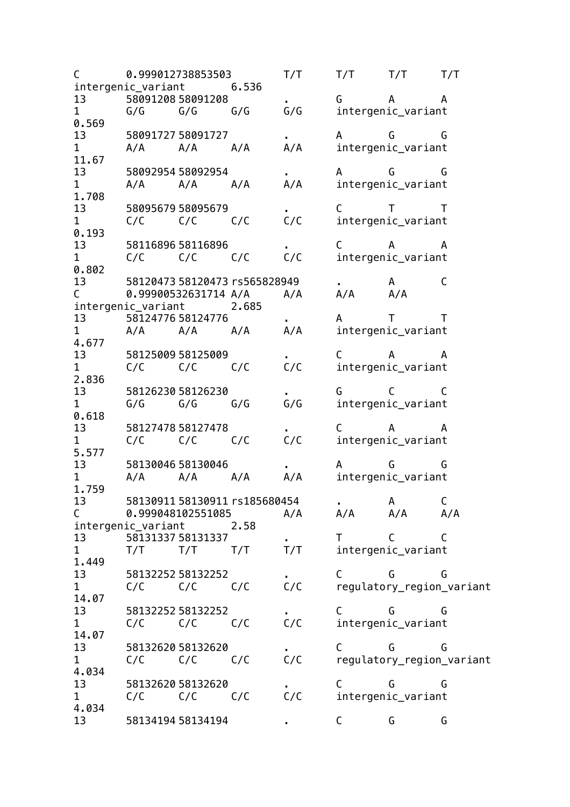C 0.999012738853503 T/T T/T T/T T/T intergenic\_variant 6.536 13 58091208 58091208 . G A A 1 G/G G/G G/G G/G intergenic variant 0.569 13 58091727 58091727 **.** A G G 1 A/A A/A A/A A/A intergenic\_variant 11.67 13 58092954 58092954 . A G G 1 A/A A/A A/A A/A intergenic\_variant 1.708 13 58095679 58095679 . C T T<br>1 C/C C/C C/C C/C intergenic\_variant 1 C/C C/C C/C C/C intergenic\_variant 0.193 13 58116896 58116896 . C A A<br>1 C/C C/C C/C C/C C/C intergenic variant 1 C/C C/C C/C C/C intergenic\_variant 0.802 13 58120473 58120473 rs565828949 . A C C 0.99900532631714 A/A A/A A/A A/A intergenic variant 2.685 13 58124776 58124776 **.** A T T 1 A/A A/A A/A A/A intergenic variant 4.677 13 58125009 58125009 . C A A<br>1 C/C C/C C/C C/C intergenic variant 1 C/C C/C C/C C/C intergenic\_variant 2.836 13 58126230 58126230 **.** G C C C<br>1 G/G G/G G/G G/G G/G intergenic variant 1 G/G G/G G/G G/G intergenic variant 0.618 13 58127478 58127478 . C A A 1 C/C C/C C/C C/C intergenic variant 5.577 13 58130046 58130046 . A G G 1 A/A A/A A/A A/A intergenic variant 1.759 13 58130911 58130911 rs185680454 . A C C 0.999048102551085 A/A A/A A/A A/A intergenic\_variant 2.58 13 58131337 58131337 **.** T C C 1 T/T T/T T/T T/T intergenic\_variant 1.449 13 58132252 58132252 **.** C G G 1 C/C C/C C/C C/C regulatory\_region\_variant 14.07 13 58132252 58132252 . C G G G<br>1 C/C C/C C/C C/C intergenic variant 1 C/C C/C C/C C/C intergenic variant 14.07 13 58132620 58132620 . C G G G<br>1 C/C C/C C/C C/C C/C regulatory region 1 C/C C/C C/C C/C regulatory region variant 4.034 13 58132620 58132620 . C G G G<br>1 C/C C/C C/C C/C intergenic variant 1 C/C C/C C/C C/C intergenic\_variant 4.034 13 58134194 58134194 . C G G